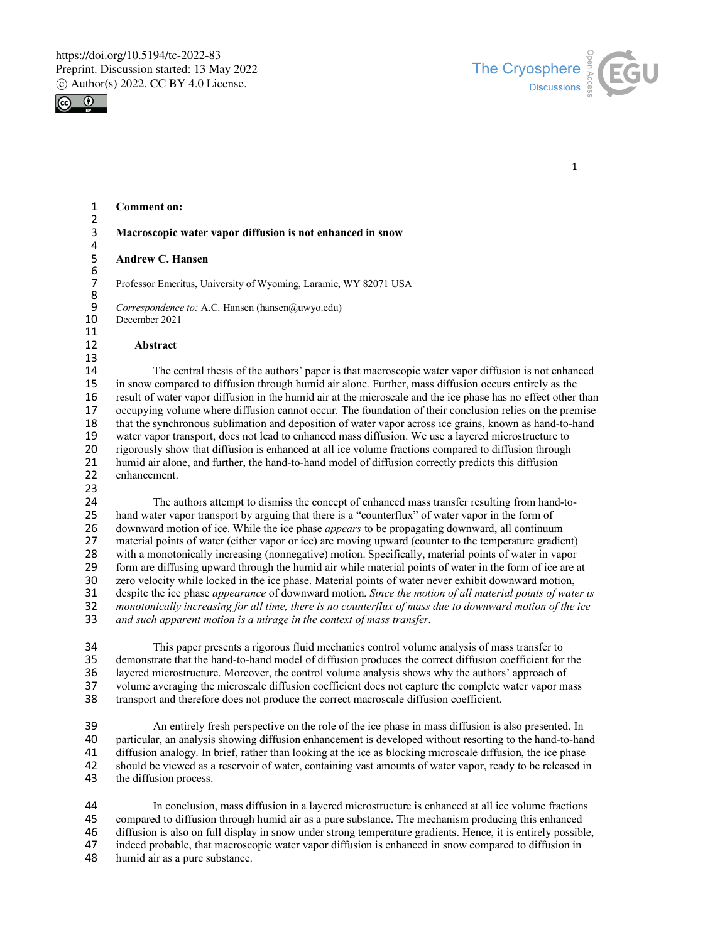



1

#### 1 **Comment on:**

- $\frac{2}{3}$ 3 **Macroscopic water vapor diffusion is not enhanced in snow** 4<br>5
	- 5 **Andrew C. Hansen**

7 Professor Emeritus, University of Wyoming, Laramie, WY 82071 USA

9 *Correspondence to:* A.C. Hansen (hansen@uwyo.edu) 10 December 2021

- December 2021
- $\begin{array}{c} 11 \\ 12 \end{array}$

6<br>7

8

- 12 **Abstract**
- 13<br>14 14 The central thesis of the authors' paper is that macroscopic water vapor diffusion is not enhanced<br>15 in snow compared to diffusion through humid air alone. Further, mass diffusion occurs entirely as the 15 in snow compared to diffusion through humid air alone. Further, mass diffusion occurs entirely as the result of water vapor diffusion in the humid air at the microscale and the ice phase has no effect other t 16 result of water vapor diffusion in the humid air at the microscale and the ice phase has no effect other than<br>17 occupying volume where diffusion cannot occur. The foundation of their conclusion relies on the premise occupying volume where diffusion cannot occur. The foundation of their conclusion relies on the premise 18 that the synchronous sublimation and deposition of water vapor across ice grains, known as hand-to-hand<br>19 water vapor transport, does not lead to enhanced mass diffusion. We use a lavered microstructure to 19 water vapor transport, does not lead to enhanced mass diffusion. We use a layered microstructure to <br>20 rigorously show that diffusion is enhanced at all ice volume fractions compared to diffusion through 20 rigorously show that diffusion is enhanced at all ice volume fractions compared to diffusion through<br>21 humid air alone, and further, the hand-to-hand model of diffusion correctly predicts this diffusion 21 humid air alone, and further, the hand-to-hand model of diffusion correctly predicts this diffusion enhancement. enhancement.
- 23

24 The authors attempt to dismiss the concept of enhanced mass transfer resulting from hand-to-25 hand water vapor transport by arguing that there is a "counterflux" of water vapor in the form of 26 downward motion of ice. While the ice phase *appears* to be propagating downward. all continuum 26 downward motion of ice. While the ice phase *appears* to be propagating downward, all continuum<br>27 material points of water (either vapor or ice) are moving upward (counter to the temperature gradie 27 material points of water (either vapor or ice) are moving upward (counter to the temperature gradient)<br>28 with a monotonically increasing (nonnegative) motion. Specifically, material points of water in vapor 28 with a monotonically increasing (nonnegative) motion. Specifically, material points of water in vapor<br>29 form are diffusing upward through the humid air while material points of water in the form of ice are a 29 form are diffusing upward through the humid air while material points of water in the form of ice are at 20 zero velocity while locked in the ice phase. Material points of water never exhibit downward motion, zero velocity while locked in the ice phase. Material points of water never exhibit downward motion, 31 despite the ice phase *appearance* of downward motion. *Since the motion of all material points of water is*  32 *monotonically increasing for all time, there is no counterflux of mass due to downward motion of the ice* 33 *and such apparent motion is a mirage in the context of mass transfer.*

34 This paper presents a rigorous fluid mechanics control volume analysis of mass transfer to 35 demonstrate that the hand-to-hand model of diffusion produces the correct diffusion coefficient for 35 demonstrate that the hand-to-hand model of diffusion produces the correct diffusion coefficient for the<br>36 lavered microstructure. Moreover, the control volume analysis shows why the authors' approach of 36 layered microstructure. Moreover, the control volume analysis shows why the authors' approach of volume averaging the microscale diffusion coefficient does not canture the complete water vapor ma 37 volume averaging the microscale diffusion coefficient does not capture the complete water vapor mass<br>38 transport and therefore does not produce the correct macroscale diffusion coefficient. transport and therefore does not produce the correct macroscale diffusion coefficient.

39 An entirely fresh perspective on the role of the ice phase in mass diffusion is also presented. In<br>40 particular, an analysis showing diffusion enhancement is developed without resorting to the hand-to-har 40 particular, an analysis showing diffusion enhancement is developed without resorting to the hand-to-hand<br>41 diffusion analogy. In brief, rather than looking at the ice as blocking microscale diffusion, the ice phase 41 diffusion analogy. In brief, rather than looking at the ice as blocking microscale diffusion, the ice phase<br>42 should be viewed as a reservoir of water, containing vast amounts of water vapor, ready to be released in should be viewed as a reservoir of water, containing vast amounts of water vapor, ready to be released in 43 the diffusion process.

44 In conclusion, mass diffusion in a layered microstructure is enhanced at all ice volume fractions<br>45 compared to diffusion through humid air as a pure substance. The mechanism producing this enhanced 45 compared to diffusion through humid air as a pure substance. The mechanism producing this enhanced 46 diffusion is also on full display in snow under strong temperature gradients. Hence, it is entirely possible,<br>47 indeed probable, that macroscopic water vapor diffusion is enhanced in snow compared to diffusion in indeed probable, that macroscopic water vapor diffusion is enhanced in snow compared to diffusion in 48 humid air as a pure substance.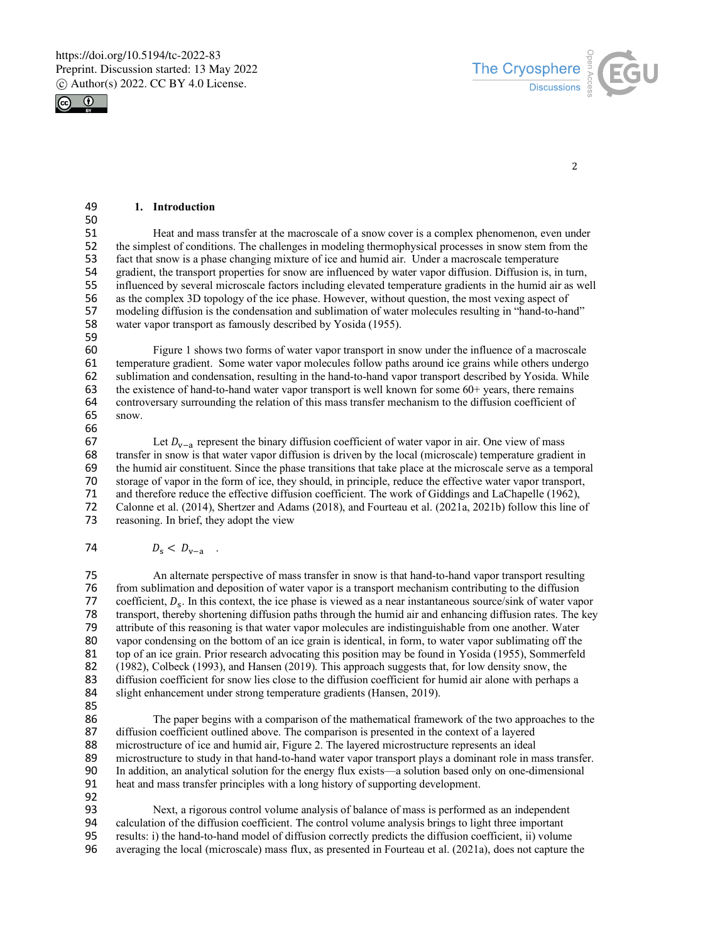



2

#### 49 **1. Introduction**

50<br>51 51 Heat and mass transfer at the macroscale of a snow cover is a complex phenomenon, even under 52 the simplest of conditions. The challenges in modeling thermophysical processes in snow stem from the 52 the simplest of conditions. The challenges in modeling thermophysical processes in snow stem from the fact that snow is a phase changing mixture of ice and humid air. Under a macroscale temperature 53 fact that snow is a phase changing mixture of ice and humid air. Under a macroscale temperature gradient, the transport properties for snow are influenced by water vapor diffusion. Diffusion is, in 54 gradient, the transport properties for snow are influenced by water vapor diffusion. Diffusion is, in turn,<br>55 influenced by several microscale factors including elevated temperature gradients in the humid air as we 55 influenced by several microscale factors including elevated temperature gradients in the humid air as well<br>56 as the complex 3D topology of the ice phase. However, without question, the most vexing aspect of 56 as the complex 3D topology of the ice phase. However, without question, the most vexing aspect of 57 modeling diffusion is the condensation and sublimation of water molecules resulting in "hand-to-harmodeling diffusion is the condensation and sublimation of water molecules resulting in "hand-to-hand" 58 water vapor transport as famously described by Yosida (1955).

59

60 Figure 1 shows two forms of water vapor transport in snow under the influence of a macroscale temperature gradient. Some water vapor molecules follow paths around ice grains while others undergo 62 sublimation and condensation, resulting in the hand-to-hand vapor transport described by Yosida. While the existence of hand-to-hand water vapor transport is well known for some  $60+$  vears, there remains the existence of hand-to-hand water vapor transport is well known for some 60+ years, there remains 64 controversary surrounding the relation of this mass transfer mechanism to the diffusion coefficient of snow. snow.

66<br>67

67 Let  $D_{v-a}$  represent the binary diffusion coefficient of water vapor in air. One view of mass transfer in snow is that water vapor diffusion is driven by the local (microscale) temperature gradiently 68 transfer in snow is that water vapor diffusion is driven by the local (microscale) temperature gradient in the humid air constituent. Since the phase transitions that take place at the microscale serve as a temporary 69 the humid air constituent. Since the phase transitions that take place at the microscale serve as a temporal 50 storage of vapor in the form of ice, they should, in principle, reduce the effective water vapor transport. 70 storage of vapor in the form of ice, they should, in principle, reduce the effective water vapor transport,<br>71 and therefore reduce the effective diffusion coefficient. The work of Giddings and LaChapelle (1962). 71 and therefore reduce the effective diffusion coefficient. The work of Giddings and LaChapelle (1962),<br>72 Calonne et al. (2014). Shertzer and Adams (2018), and Fourteau et al. (2021a, 2021b) follow this line of 72 Calonne et al. (2014), Shertzer and Adams (2018), and Fourteau et al. (2021a, 2021b) follow this line of reasoning. In brief, they adopt the view reasoning. In brief, they adopt the view

#### 74  $D_s < D_{v-a}$ .

75 An alternate perspective of mass transfer in snow is that hand-to-hand vapor transport resulting<br>76 from sublimation and deposition of water vapor is a transport mechanism contributing to the diffusion from sublimation and deposition of water vapor is a transport mechanism contributing to the diffusion 77 coefficient,  $D_s$ . In this context, the ice phase is viewed as a near instantaneous source/sink of water vapor<br>78 transport, thereby shortening diffusion paths through the humid air and enhancing diffusion rates. The k 78 transport, thereby shortening diffusion paths through the humid air and enhancing diffusion rates. The key<br>79 attribute of this reasoning is that water vapor molecules are indistinguishable from one another. Water 79 attribute of this reasoning is that water vapor molecules are indistinguishable from one another. Water vapor condensing on the bottom of an ice grain is identical, in form, to water vapor sublimating off the vapor condensing on the bottom of an ice grain is identical, in form, to water vapor sublimating off the 81 top of an ice grain. Prior research advocating this position may be found in Yosida (1955), Sommerfeld<br>82 (1982). Colbeck (1993), and Hansen (2019). This approach suggests that, for low density snow, the 82 (1982), Colbeck (1993), and Hansen (2019). This approach suggests that, for low density snow, the 83 diffusion coefficient for snow lies close to the diffusion coefficient for humid air alone with perhaps a slight enhancement under strong temperature gradients (Hansen, 2019). slight enhancement under strong temperature gradients (Hansen, 2019).

85

86 The paper begins with a comparison of the mathematical framework of the two approaches to the diffusion coefficient outlined above. The comparison is presented in the context of a layered diffusion coefficient outlined above. The comparison is presented in the context of a layered 88 microstructure of ice and humid air, Figure 2. The layered microstructure represents an ideal<br>89 microstructure to study in that hand-to-hand water vapor transport plays a dominant role in m 89 microstructure to study in that hand-to-hand water vapor transport plays a dominant role in mass transfer.<br>90 In addition, an analytical solution for the energy flux exists—a solution based only on one-dimensional 90 In addition, an analytical solution for the energy flux exists—a solution based only on one-dimensional heat and mass transfer principles with a long history of supporting development. heat and mass transfer principles with a long history of supporting development.

92

93 Next, a rigorous control volume analysis of balance of mass is performed as an independent 94 calculation of the diffusion coefficient. The control volume analysis brings to light three important results: i) the hand-to-hand model of diffusion correctly predicts the diffusion coefficient, ii) volum 95 results: i) the hand-to-hand model of diffusion correctly predicts the diffusion coefficient, ii) volume<br>96 averaging the local (microscale) mass flux, as presented in Fourteau et al. (2021a), does not capture to averaging the local (microscale) mass flux, as presented in Fourteau et al. (2021a), does not capture the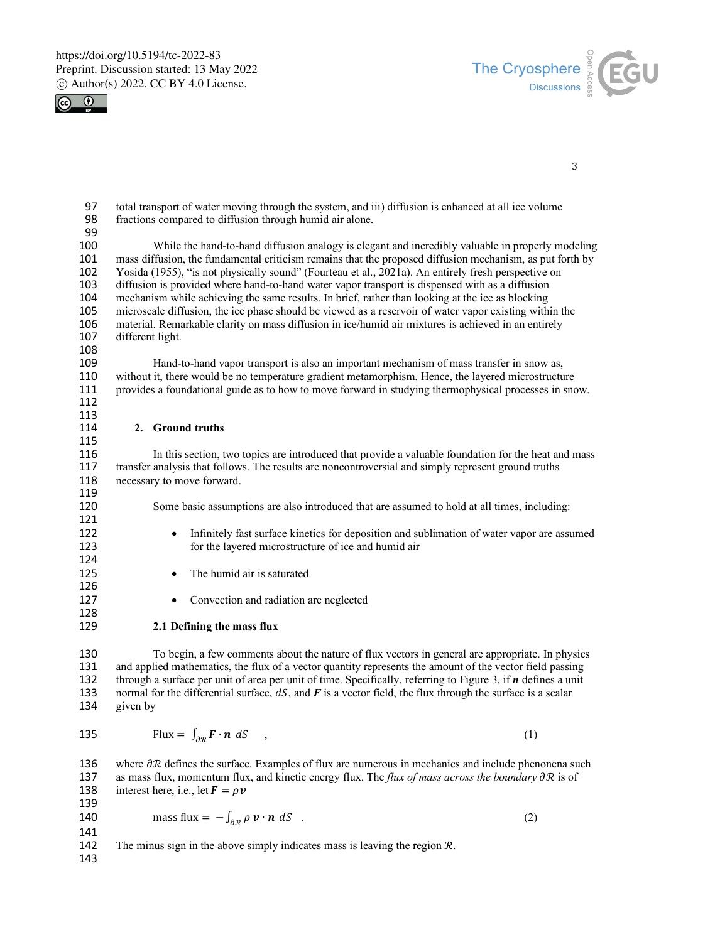



```
3
```
97 total transport of water moving through the system, and iii) diffusion is enhanced at all ice volume<br>98 fractions compared to diffusion through humid air alone. fractions compared to diffusion through humid air alone.

99<br>100

100 While the hand-to-hand diffusion analogy is elegant and incredibly valuable in properly modeling<br>101 mass diffusion, the fundamental criticism remains that the proposed diffusion mechanism, as put forth by 101 mass diffusion, the fundamental criticism remains that the proposed diffusion mechanism, as put forth by<br>102 Yosida (1955), "is not physically sound" (Fourteau et al., 2021a). An entirely fresh perspective on 102 Yosida (1955), "is not physically sound" (Fourteau et al., 2021a). An entirely fresh perspective on 103 diffusion is provided where hand-to-hand water vapor transport is dispensed with as a diffusion 103 diffusion is provided where hand-to-hand water vapor transport is dispensed with as a diffusion 104 mechanism while achieving the same results. In brief, rather than looking at the ice as blocking<br>105 microscale diffusion, the ice phase should be viewed as a reservoir of water vapor existing within 105 microscale diffusion, the ice phase should be viewed as a reservoir of water vapor existing within the 106 material. Remarkable clarity on mass diffusion in ice/humid air mixtures is achieved in an entirely 106 material. Remarkable clarity on mass diffusion in ice/humid air mixtures is achieved in an entirely 107 different light. different light.

108

Hand-to-hand vapor transport is also an important mechanism of mass transfer in snow as, 110 without it, there would be no temperature gradient metamorphism. Hence, the layered microstructure 111 provides a foundational guide as to how to move forward in studying thermophysical processes in sno 111 provides a foundational guide as to how to move forward in studying thermophysical processes in snow.

112 113<br>114

121

124

126

128

#### 2. **Ground truths**

115<br>116 116 In this section, two topics are introduced that provide a valuable foundation for the heat and mass<br>117 transfer analysis that follows. The results are noncontroversial and simply represent ground truths 117 transfer analysis that follows. The results are noncontroversial and simply represent ground truths 118 necessary to move forward. 119<br>120

Some basic assumptions are also introduced that are assumed to hold at all times, including:

- 122 Infinitely fast surface kinetics for deposition and sublimation of water vapor are assumed 123 for the layered microstructure of ice and humid air
- 125 The humid air is saturated
- 127 Convection and radiation are neglected

#### 129 **2.1 Defining the mass flux**

130 To begin, a few comments about the nature of flux vectors in general are appropriate. In physics<br>131 and applied mathematics, the flux of a vector quantity represents the amount of the vector field passing and applied mathematics, the flux of a vector quantity represents the amount of the vector field passing 132 through a surface per unit of area per unit of time. Specifically, referring to Figure 3, if *n* defines a unit 133 normal for the differential surface, dS, and F is a vector field, the flux through the surface is a scalar 134 given by

Flux = ∫ ∙ 3ℛ 135 , (1)

136 where  $\partial \mathcal{R}$  defines the surface. Examples of flux are numerous in mechanics and include phenonena such 137 as mass flux, momentum flux, and kinetic energy flux. The *flux of mass across the boundary*  $\partial \mathcal{R}$  is of 138 interest here, i.e., let  $\mathbf{F} = \rho \mathbf{v}$ 139 140 mass flux =  $-\int_{\partial \mathcal{R}} \rho \, \mathbf{v} \cdot \mathbf{n} \, dS$  . (2) 141 142 The minus sign in the above simply indicates mass is leaving the region  $\mathcal{R}$ .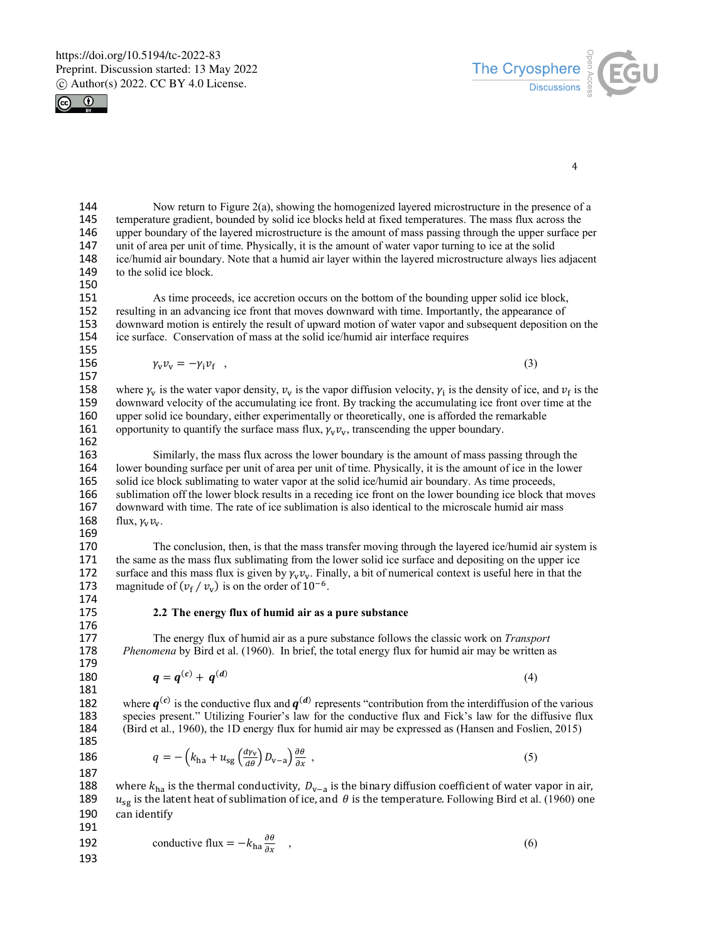



4

144 Now return to Figure 2(a), showing the homogenized layered microstructure in the presence of a 145 temperature gradient, bounded by solid ice blocks held at fixed temperatures. The mass flux across the 146 upper boundary of the layered microstructure is the amount of mass passing through the upper surface 146 upper boundary of the layered microstructure is the amount of mass passing through the upper surface per 147 unit of area per unit of time. Physically, it is the amount of water vapor turning to ice at the solid 147 unit of area per unit of time. Physically, it is the amount of water vapor turning to ice at the solid<br>148 ice/humid air boundary. Note that a humid air layer within the layered microstructure always lies 148 ice/humid air boundary. Note that a humid air layer within the layered microstructure always lies adjacent to the solid ice block.

150

151 As time proceeds, ice accretion occurs on the bottom of the bounding upper solid ice block,<br>152 resulting in an advancing ice front that moves downward with time. Importantly, the appearance of 152 resulting in an advancing ice front that moves downward with time. Importantly, the appearance of 153 downward motion is entirely the result of upward motion of water vapor and subsequent deposition on the 154 ice surface. Conservation of mass at the solid ice/humid air interface requires ice surface. Conservation of mass at the solid ice/humid air interface requires 155<br>156

 $\gamma_v v_v = -\gamma_i v_f$  , (3)

158 where  $\gamma_v$  is the water vapor density,  $v_v$  is the vapor diffusion velocity,  $\gamma_i$  is the density of ice, and  $v_f$  is the 159 downward velocity of the accumulating ice front. By tracking the accumulating ice front ov 159 downward velocity of the accumulating ice front. By tracking the accumulating ice front over time at the 160 upper solid ice boundary, either experimentally or theoretically, one is afforded the remarkable upper solid ice boundary, either experimentally or theoretically, one is afforded the remarkable 161 opportunity to quantify the surface mass flux,  $\gamma_v v_v$ , transcending the upper boundary.

162<br>163

157

163 Similarly, the mass flux across the lower boundary is the amount of mass passing through the 164 lower bounding surface per unit of area per unit of time. Physically, it is the amount of ice in the lower<br>165 solid ice block sublimating to water vapor at the solid ice/humid air boundary. As time proceeds. solid ice block sublimating to water vapor at the solid ice/humid air boundary. As time proceeds, 166 sublimation off the lower block results in a receding ice front on the lower bounding ice block that moves 167 downward with time. The rate of ice sublimation is also identical to the microscale humid air mass 168 flux,  $\gamma_v v_v$ .

169

170 The conclusion, then, is that the mass transfer moving through the layered ice/humid air system is 171 the same as the mass flux sublimating from the lower solid ice surface and depositing on the upper ice 171 the same as the mass flux sublimating from the lower solid ice surface and depositing on the upper ice<br>172 surface and this mass flux is given by  $\gamma_v \gamma_v$ . Finally, a bit of numerical context is useful here in that th 172 surface and this mass flux is given by  $\gamma_v v_v$ . Finally, a bit of numerical context is useful here in that the magnitude of  $(v_f / v_v)$  is on the order of  $10^{-6}$ . magnitude of  $(v_f / v_v)$  is on the order of 10<sup>-6</sup>.

- 174<br>175
- 176<br>177

179

181

175 **2.2 The energy flux of humid air as a pure substance**

177 The energy flux of humid air as a pure substance follows the classic work on *Transport* 178 *Phenomena* by Bird et al. (1960). In brief, the total energy flux for humid air may be written a *Phenomena* by Bird et al. (1960). In brief, the total energy flux for humid air may be written as

180 
$$
q = q^{(c)} + q^{(d)}
$$
 (4)

182 where  $q^{(c)}$  is the conductive flux and  $q^{(d)}$  represents "contribution from the interdiffusion of the various species present." Utilizing Fourier's law for the conductive flux and Fick's law for the diffusive flux 183 species present." Utilizing Fourier's law for the conductive flux and Fick's law for the diffusive flux 184 (Bird et al., 1960), the 1D energy flux for humid air may be expressed as (Hansen and Foslien, 2015) 184 (Bird et al., 1960), the 1D energy flux for humid air may be expressed as (Hansen and Foslien, 2015) 185

186 
$$
q = -\left(k_{\text{ha}} + u_{\text{sg}}\left(\frac{d\gamma_{\text{v}}}{d\theta}\right)D_{\text{v}-\text{a}}\right)\frac{\partial\theta}{\partial x},
$$
\n(5)

187

188 where  $k_{ha}$  is the thermal conductivity,  $D_{v-a}$  is the binary diffusion coefficient of water vapor in air,<br>189  $u_{se}$  is the latent heat of sublimation of ice, and  $\theta$  is the temperature. Following Bird et al. (196  $u_{sg}$  is the latent heat of sublimation of ice, and  $\theta$  is the temperature. Following Bird et al. (1960) one 190 can identify

192 conductive flux = 
$$
-k_{\text{ha}} \frac{\partial \theta}{\partial x}
$$
, (6)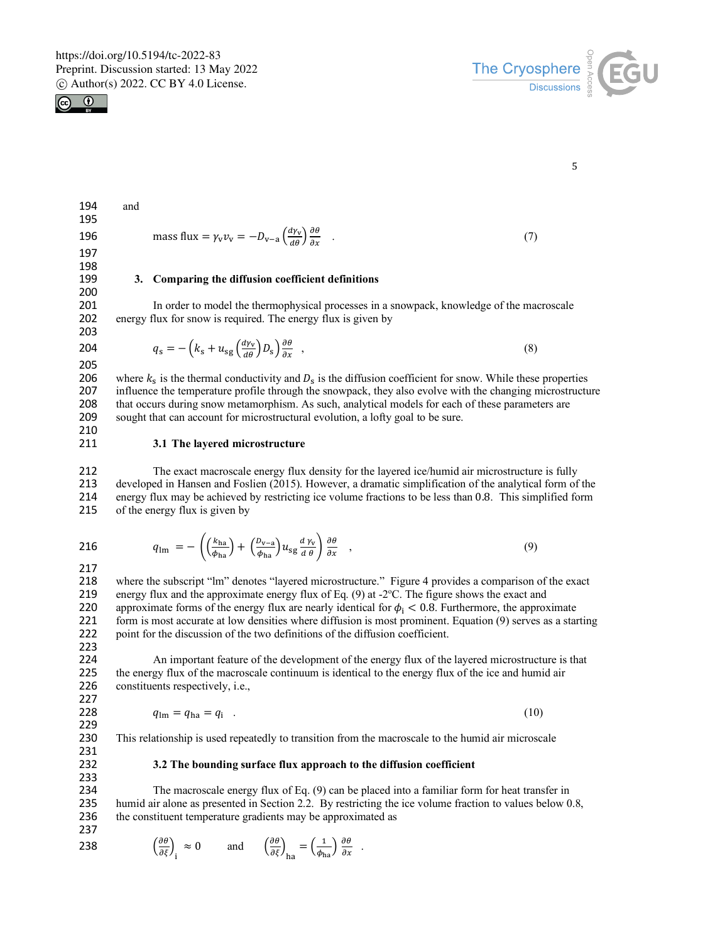



5

| 194 | and |                                                                                                                                            |     |
|-----|-----|--------------------------------------------------------------------------------------------------------------------------------------------|-----|
| 195 |     |                                                                                                                                            |     |
| 196 |     | mass flux = $\gamma_v v_v = -D_{v-a} \left( \frac{d\gamma_v}{d\rho} \right) \frac{\partial \theta}{\partial x}$ .                          | (7) |
| 197 |     |                                                                                                                                            |     |
| 198 |     |                                                                                                                                            |     |
| 199 | 3.  | Comparing the diffusion coefficient definitions                                                                                            |     |
| 200 |     |                                                                                                                                            |     |
| 201 |     | In order to model the thermophysical processes in a snowpack, knowledge of the macroscale                                                  |     |
| 202 |     | energy flux for snow is required. The energy flux is given by                                                                              |     |
| 203 |     |                                                                                                                                            |     |
| 204 |     | $q_{\rm s} = -\left(k_{\rm s} + u_{\rm sg}\left(\frac{d\gamma_{\rm v}}{d\theta}\right)D_{\rm s}\right)\frac{\partial\theta}{\partial x}$ , | (8) |
| 205 |     |                                                                                                                                            |     |
| 206 |     | where $k_s$ is the thermal conductivity and $D_s$ is the diffusion coefficient for snow. While these propert                               |     |

206 where  $k_s$  is the thermal conductivity and  $D_s$  is the diffusion coefficient for snow. While these properties influence the temperature profile through the snowpack, they also evolve with the changing microstructure that occurs during snow metamorphism. As such, analytical models for each of these parameters are sought that can account for microstructural evolution, a lofty goal to be sure.

$$
\begin{array}{c} 210 \\ 211 \end{array}
$$

## 211 **3.1 The layered microstructure**

212 The exact macroscale energy flux density for the layered ice/humid air microstructure is fully<br>213 developed in Hansen and Foslien (2015). However, a dramatic simplification of the analytical form of developed in Hansen and Foslien (2015). However, a dramatic simplification of the analytical form of the 214 energy flux may be achieved by restricting ice volume fractions to be less than 0.8. This simplified form 215 of the energy flux is given by of the energy flux is given by

$$
q_{\text{lm}} = -\left( \left( \frac{k_{\text{ha}}}{\phi_{\text{ha}}} \right) + \left( \frac{D_{\text{v}-\text{a}}}{\phi_{\text{ha}}} \right) u_{\text{sg}} \frac{d\gamma_{\text{v}}}{d\theta} \right) \frac{\partial \theta}{\partial x} \quad , \tag{9}
$$

217<br>218

where the subscript "lm" denotes "layered microstructure." Figure 4 provides a comparison of the exact 219 energy flux and the approximate energy flux of Eq. (9) at  $-2^{\circ}$ C. The figure shows the exact and 220 approximate forms of the energy flux are nearly identical for  $\phi_i < 0.8$ . Furthermore, the approximate 221 form is most accurate at low densities where diffusion is most prominent. Equation (9) serves as a star form is most accurate at low densities where diffusion is most prominent. Equation (9) serves as a starting 222 point for the discussion of the two definitions of the diffusion coefficient.

223<br>224

224 An important feature of the development of the energy flux of the layered microstructure is that 225 the energy flux of the macroscale continuum is identical to the energy flux of the ice and humid air 225 the energy flux of the macroscale continuum is identical to the energy flux of the ice and humid air 226 constituents respectively, i.e.,

227

$$
q_{\text{lm}} = q_{\text{ha}} = q_i \tag{10}
$$

229

## 230 This relationship is used repeatedly to transition from the macroscale to the humid air microscale

## 231<br>232 233

#### 232 **3.2 The bounding surface flux approach to the diffusion coefficient**

234 The macroscale energy flux of Eq. (9) can be placed into a familiar form for heat transfer in 235 humid air alone as presented in Section 2.2. By restricting the ice volume fraction to values below 0.8, 236 the constituent temperature gradients may be approximated as 237

238  $\left(\frac{\partial \theta}{\partial \xi}\right)_1 \approx 0$  and  $\left(\frac{\partial \theta}{\partial \xi}\right)_{\text{ha}} = \left(\frac{1}{\phi_{\text{ha}}}\right) \frac{\partial \theta}{\partial x}$ .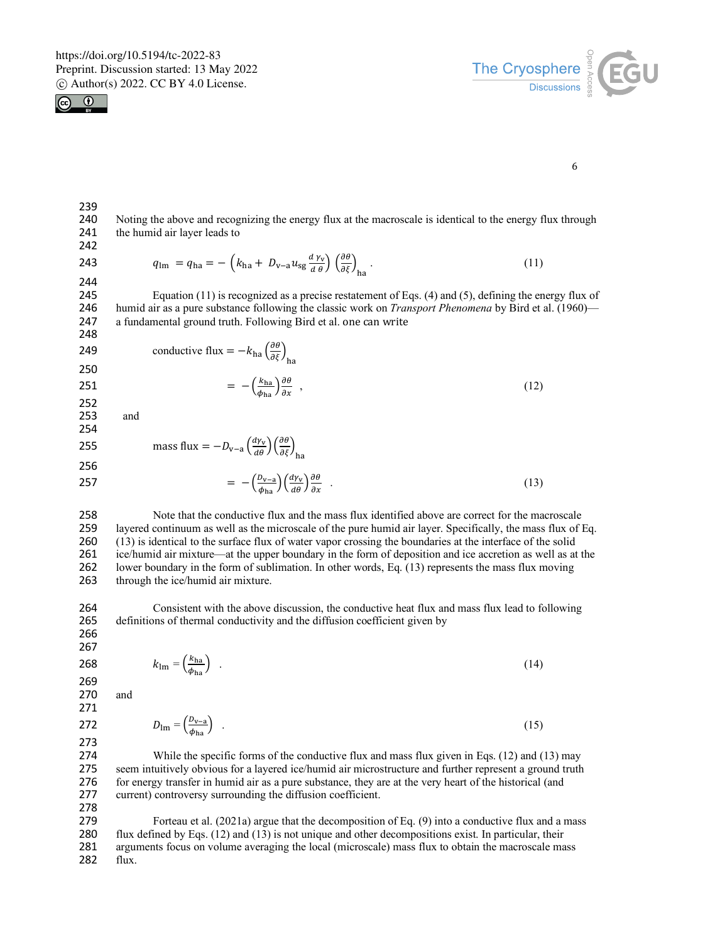



6

240 Noting the above and recognizing the energy flux at the macroscale is identical to the energy flux through 241 the humid air layer leads to the humid air layer leads to

242

239

243  $q_{\text{lm}} = q_{\text{ha}} = -\left(k_{\text{ha}} + D_{\text{v}-\text{a}} u_{\text{sg}} \frac{d v_{\text{v}}}{d \theta}\right) \left(\frac{\partial \theta}{\partial \xi}\right)_{\text{ha}}.$  (11)

244<br>245 245 Equation (11) is recognized as a precise restatement of Eqs. (4) and (5), defining the energy flux of 246 humid air as a pure substance following the classic work on *Transport Phenomena* by Bird et al. (1960)— 246 humid air as a pure substance following the classic work on *Transport Phenomena* by Bird et al. (1960)—<br>247 a fundamental ground truth. Following Bird et al. one can write a fundamental ground truth. Following Bird et al. one can write 248

249 conductive flux = 
$$
-k_{\text{ha}} \left( \frac{\partial \theta}{\partial \xi} \right)_{\text{ha}}
$$

250

$$
250
$$
  
251 =  $-\left(\frac{k_{\text{ha}}}{\phi_{\text{ha}}}\right)\frac{\partial \theta}{\partial x}$ , (12)

252 253 and

$$
254\,
$$

255 mass flux = 
$$
-D_{v-a} \left(\frac{d\gamma_v}{d\theta}\right) \left(\frac{\partial \theta}{\partial \xi}\right)_{ha}
$$
  
256 =  $-\left(\frac{D_{v-a}}{\phi_{ha}}\right) \left(\frac{d\gamma_v}{d\theta}\right) \frac{\partial \theta}{\partial x}$  (13)

258 Note that the conductive flux and the mass flux identified above are correct for the macroscale<br>259 lavered continuum as well as the microscale of the pure humid air laver. Specifically, the mass flux of layered continuum as well as the microscale of the pure humid air layer. Specifically, the mass flux of Eq. 260 (13) is identical to the surface flux of water vapor crossing the boundaries at the interface of the solid<br>261 ice/humid air mixture—at the upper boundary in the form of deposition and ice accretion as well as at ice/humid air mixture—at the upper boundary in the form of deposition and ice accretion as well as at the 262 lower boundary in the form of sublimation. In other words, Eq. (13) represents the mass flux moving 263 through the ice/humid air mixture.

264 Consistent with the above discussion, the conductive heat flux and mass flux lead to following<br>265 definitions of thermal conductivity and the diffusion coefficient given by definitions of thermal conductivity and the diffusion coefficient given by

266 267

269

$$
k_{\text{lm}} = \left(\frac{k_{\text{ha}}}{\phi_{\text{ha}}}\right) \tag{14}
$$

270 and

 $D_{\text{lm}} = \left(\frac{D_{\text{v}-\text{a}}}{\phi_{\text{v}}} \right)$ 

271

$$
D_{\text{Im}} = \left(\frac{\nu_{\text{v}-\text{a}}}{\phi_{\text{ha}}}\right) \tag{15}
$$

273 While the specific forms of the conductive flux and mass flux given in Eqs.  $(12)$  and  $(13)$  may 275 seem intuitively obvious for a layered ice/humid air microstructure and further represent a ground truth 276 for energy transfer in humid air as a pure substance, they are at the very heart of the historical (and 277 current) controversy surrounding the diffusion coefficient.

278 Forteau et al. (2021a) argue that the decomposition of Eq. (9) into a conductive flux and a mass 280 flux defined by Eqs. (12) and (13) is not unique and other decompositions exist. In particular, their 281 arguments focus on volume averaging the local (microscale) mass flux to obtain the macroscale mass 282 flux.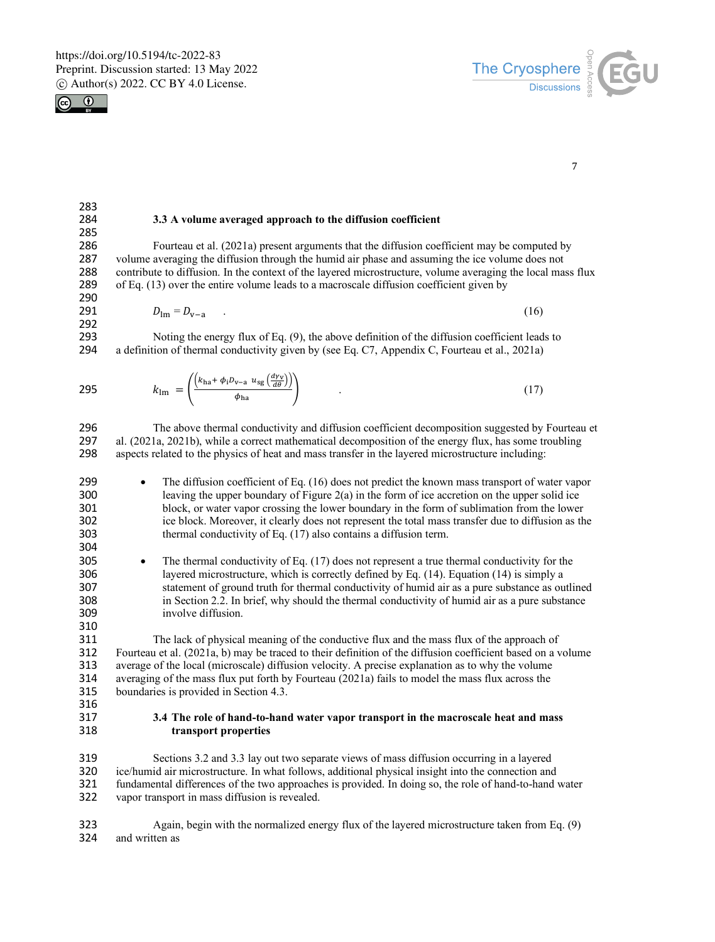

283<br>284



7

#### 284 **3.3 A volume averaged approach to the diffusion coefficient**

285<br>286 286 Fourteau et al. (2021a) present arguments that the diffusion coefficient may be computed by 287 volume averaging the diffusion through the humid air phase and assuming the ice volume does not 287 volume averaging the diffusion through the humid air phase and assuming the ice volume does not 288 contribute to diffusion. In the context of the lavered microstructure, volume averaging the local mas 288 contribute to diffusion. In the context of the layered microstructure, volume averaging the local mass flux<br>289 of Eq. (13) over the entire volume leads to a macroscale diffusion coefficient given by of Eq.  $(13)$  over the entire volume leads to a macroscale diffusion coefficient given by 290<br>291

291 
$$
D_{lm} = D_{v-a}
$$
 (16)

292<br>293 293 Noting the energy flux of Eq.  $(9)$ , the above definition of the diffusion coefficient leads to 294 a definition of thermal conductivity given by (see Eq. C7, Appendix C, Fourteau et al., 2021a) a definition of thermal conductivity given by (see Eq. C7, Appendix C, Fourteau et al., 2021a)

$$
k_{\rm lm} = \left( \frac{\left( k_{\rm ha} + \phi_{\rm i} D_{\rm v-a} u_{\rm sg} \left( \frac{d\gamma_{\rm v}}{d\theta} \right) \right)}{\phi_{\rm ha}} \right) \tag{17}
$$

296 The above thermal conductivity and diffusion coefficient decomposition suggested by Fourteau et<br>297 al. (2021a–2021b) while a correct mathematical decomposition of the energy flux has some troubling al. (2021a, 2021b), while a correct mathematical decomposition of the energy flux, has some troubling 298 aspects related to the physics of heat and mass transfer in the layered microstructure including:

- 299 The diffusion coefficient of Eq. (16) does not predict the known mass transport of water vapor 300 leaving the upper boundary of Figure 2(a) in the form of ice accretion on the upper solid ice 301 block, or water vapor crossing the lower boundary in the form of sublimation from the lower 302 ice block. Moreover, it clearly does not represent the total mass transfer due to diffusion as the 303 thermal conductivity of Eq. (17) also contains a diffusion term. thermal conductivity of Eq. (17) also contains a diffusion term.
- 304<br>305 305 • The thermal conductivity of Eq.  $(17)$  does not represent a true thermal conductivity for the 306 avered microstructure, which is correctly defined by Eq.  $(14)$ . Equation  $(14)$  is simply a layered microstructure, which is correctly defined by Eq.  $(14)$ . Equation  $(14)$  is simply a 307 statement of ground truth for thermal conductivity of humid air as a pure substance as outlined<br>308 in Section 2.2. In brief, why should the thermal conductivity of humid air as a pure substance in Section 2.2. In brief, why should the thermal conductivity of humid air as a pure substance 309 involve diffusion.
- 310<br>311 311 The lack of physical meaning of the conductive flux and the mass flux of the approach of 312 Fourteau et al. (2021a, b) may be traced to their definition of the diffusion coefficient based on a v 312 Fourteau et al. (2021a, b) may be traced to their definition of the diffusion coefficient based on a volume 313 average of the local (microscale) diffusion velocity. A precise explanation as to why the volume 314 averaging of the mass flux put forth by Fourteau (2021a) fails to model the mass flux across the averaging of the mass flux put forth by Fourteau (2021a) fails to model the mass flux across the 315 boundaries is provided in Section 4.3.
- 316
- 317 **3.4 The role of hand-to-hand water vapor transport in the macroscale heat and mass**  318 **transport properties**

319 Sections 3.2 and 3.3 lay out two separate views of mass diffusion occurring in a layered<br>320 ice/humid air microstructure. In what follows, additional physical insight into the connection and ice/humid air microstructure. In what follows, additional physical insight into the connection and 321 fundamental differences of the two approaches is provided. In doing so, the role of hand-to-hand water 322 vapor transport in mass diffusion is revealed.

323 Again, begin with the normalized energy flux of the layered microstructure taken from Eq. (9) 324 and written as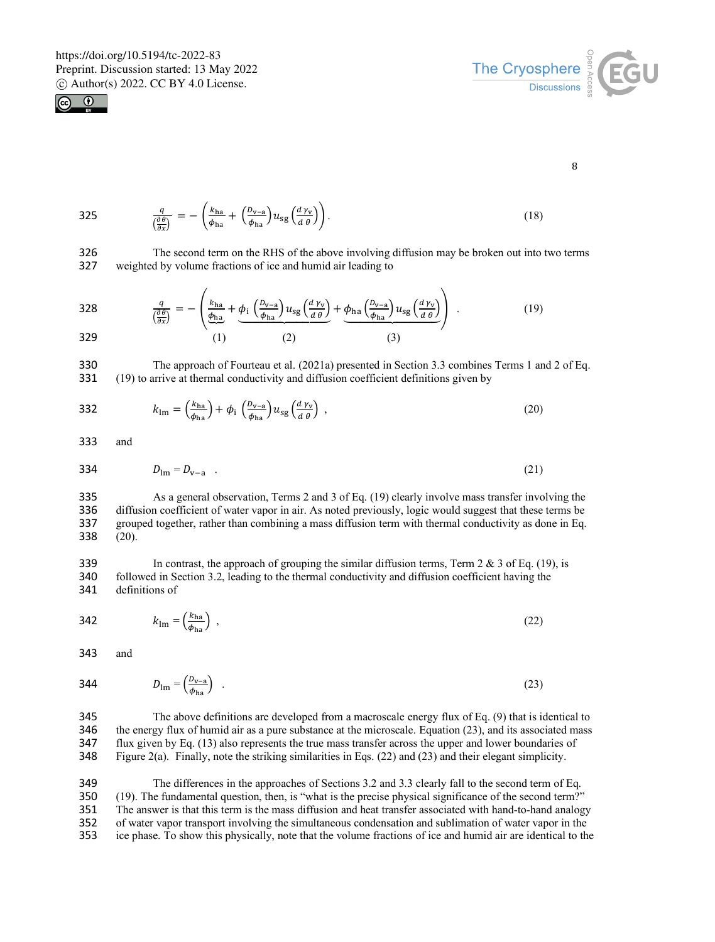$\overline{1}$ 





8

$$
325 \qquad \qquad \frac{q}{\left(\frac{\partial \theta}{\partial x}\right)} = -\left(\frac{k_{\text{ha}}}{\phi_{\text{ha}}} + \left(\frac{D_{\text{v}-\text{a}}}{\phi_{\text{ha}}}\right) u_{\text{sg}} \left(\frac{d\,\gamma_{\text{v}}}{d\,\theta}\right)\right). \tag{18}
$$

326 The second term on the RHS of the above involving diffusion may be broken out into two terms 327 weighted by volume fractions of ice and humid air leading to weighted by volume fractions of ice and humid air leading to

 $\overline{\phantom{0}}$ 

328 
$$
\frac{q}{\left(\frac{\partial \theta}{\partial x}\right)} = -\left(\frac{k_{ha}}{\phi_{ha}} + \underbrace{\phi_i \left(\frac{D_{v-a}}{\phi_{ha}}\right) u_{sg} \left(\frac{d \gamma_v}{d \theta}\right)}_{(2)} + \underbrace{\phi_{ha} \left(\frac{D_{v-a}}{\phi_{ha}}\right) u_{sg} \left(\frac{d \gamma_v}{d \theta}\right)}_{(3)}\right) .
$$
(19)

330 The approach of Fourteau et al. (2021a) presented in Section 3.3 combines Terms 1 and 2 of Eq. 331 (19) to arrive at thermal conductivity and diffusion coefficient definitions given by

$$
k_{\rm lm} = \left(\frac{k_{\rm ha}}{\phi_{\rm ha}}\right) + \phi_{\rm i} \left(\frac{D_{\rm v-a}}{\phi_{\rm ha}}\right) u_{\rm sg} \left(\frac{d\gamma_{\rm v}}{d\theta}\right) \,,\tag{20}
$$

333 and

334 
$$
D_{lm} = D_{v-a}
$$
 (21)

335 As a general observation, Terms 2 and 3 of Eq. (19) clearly involve mass transfer involving the 336 diffusion coefficient of water vapor in air. As noted previously, logic would suggest that these terms be diffusion coefficient of water vapor in air. As noted previously, logic would suggest that these terms be 337 grouped together, rather than combining a mass diffusion term with thermal conductivity as done in Eq. 338 (20).

339 In contrast, the approach of grouping the similar diffusion terms, Term  $2 \& 3$  of Eq. (19), is 340 followed in Section 3.2, leading to the thermal conductivity and diffusion coefficient having the followed in Section 3.2, leading to the thermal conductivity and diffusion coefficient having the 341 definitions of

$$
k_{\rm lm} = \left(\frac{k_{\rm ha}}{\phi_{\rm ha}}\right) \tag{22}
$$

343 and

$$
B_{\rm lm} = \left(\frac{D_{\rm v-a}}{\phi_{\rm ha}}\right) \tag{23}
$$

 The above definitions are developed from a macroscale energy flux of Eq. (9) that is identical to the energy flux of humid air as a pure substance at the microscale. Equation (23), and its associated mass flux given by Eq. (13) also represents the true mass transfer across the upper and lower boundaries of Figure 2(a). Finally, note the striking similarities in Eqs. (22) and (23) and their elegant simplicity.

 The differences in the approaches of Sections 3.2 and 3.3 clearly fall to the second term of Eq. (19). The fundamental question, then, is "what is the precise physical significance of the second term?" The answer is that this term is the mass diffusion and heat transfer associated with hand-to-hand analogy of water vapor transport involving the simultaneous condensation and sublimation of water vapor in the ice phase. To show this physically, note that the volume fractions of ice and humid air are identical to the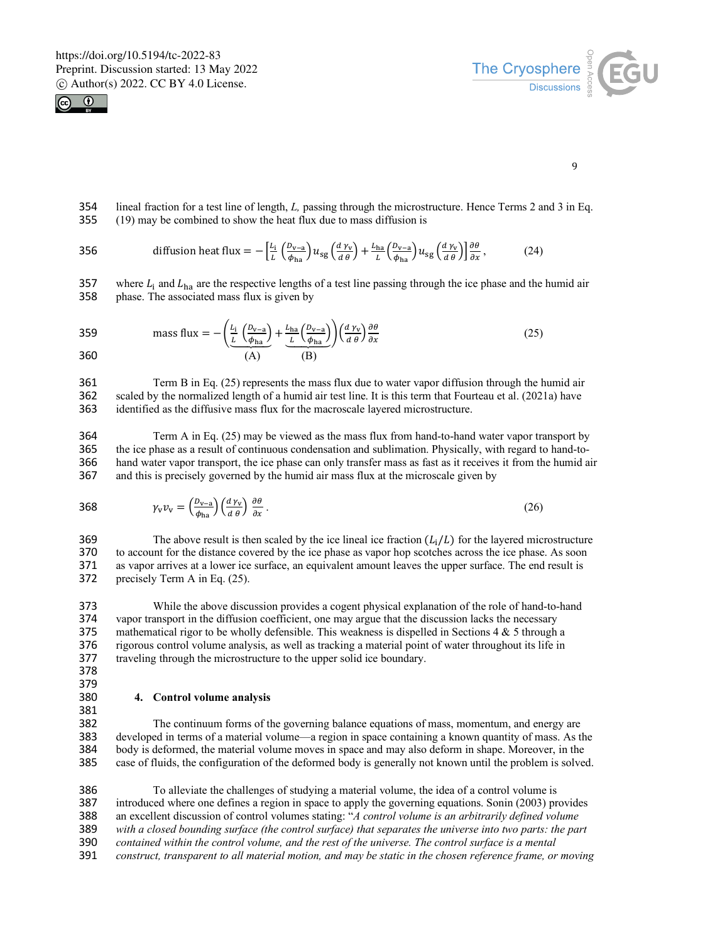



9

354 lineal fraction for a test line of length, *L,* passing through the microstructure. Hence Terms 2 and 3 in Eq. 355 (19) may be combined to show the heat flux due to mass diffusion is

356 diffusion heat flux = 
$$
- \left[ \frac{L_i}{L} \left( \frac{D_{v-a}}{\phi_{ha}} \right) u_{sg} \left( \frac{d \gamma_v}{d \theta} \right) + \frac{L_{ha}}{L} \left( \frac{D_{v-a}}{\phi_{ha}} \right) u_{sg} \left( \frac{d \gamma_v}{d \theta} \right) \right] \frac{\partial \theta}{\partial x},
$$
 (24)

357 where  $L_i$  and  $L_{ha}$  are the respective lengths of a test line passing through the ice phase and the humid air 358 phase. The associated mass flux is given by phase. The associated mass flux is given by

359 mass flux 
$$
= -\left(\frac{L_i}{L}\left(\frac{D_{v-a}}{\phi_{ha}}\right) + \frac{L_{ha}}{L}\left(\frac{D_{v-a}}{\phi_{ha}}\right)\right) \left(\frac{d\gamma_v}{d\theta}\right) \frac{\partial \theta}{\partial x}
$$
 (25)  
360 (A) (B)

361 Term B in Eq. (25) represents the mass flux due to water vapor diffusion through the humid air 362 scaled by the normalized length of a humid air test line. It is this term that Fourteau et al. (2021a) have scaled by the normalized length of a humid air test line. It is this term that Fourteau et al. (2021a) have 363 identified as the diffusive mass flux for the macroscale layered microstructure.

364 Term A in Eq. (25) may be viewed as the mass flux from hand-to-hand water vapor transport by 365 the ice phase as a result of continuous condensation and sublimation. Physically, with regard to hand-to-<br>366 hand water vapor transport, the ice phase can only transfer mass as fast as it receives it from the humid a hand water vapor transport, the ice phase can only transfer mass as fast as it receives it from the humid air 367 and this is precisely governed by the humid air mass flux at the microscale given by

$$
\gamma_{\rm v} v_{\rm v} = \left(\frac{D_{\rm v-a}}{\phi_{\rm ha}}\right) \left(\frac{d\,\gamma_{\rm v}}{d\,\theta}\right) \frac{\partial\theta}{\partial x} \,. \tag{26}
$$

369 The above result is then scaled by the ice lineal ice fraction  $(L_i/L)$  for the layered microstructure 370 to account for the distance covered by the ice phase as vapor hop scotches across the ice phase. As soon to account for the distance covered by the ice phase as vapor hop scotches across the ice phase. As soon 371 as vapor arrives at a lower ice surface, an equivalent amount leaves the upper surface. The end result is 372 recisely Term A in Eq. (25). precisely Term A in Eq. (25).

373 While the above discussion provides a cogent physical explanation of the role of hand-to-hand<br>374 vapor transport in the diffusion coefficient, one may argue that the discussion lacks the necessary vapor transport in the diffusion coefficient, one may argue that the discussion lacks the necessary 375 mathematical rigor to be wholly defensible. This weakness is dispelled in Sections  $4 \& 5$  through a 376 rigorous control volume analysis, as well as tracking a material point of water throughout its life in rigorous control volume analysis, as well as tracking a material point of water throughout its life in 377 traveling through the microstructure to the upper solid ice boundary.

378 379

#### 380 **4. Control volume analysis**

381<br>382

The continuum forms of the governing balance equations of mass, momentum, and energy are developed in terms of a material volume—a region in space containing a known quantity of mass. As the body is deformed, the material volume moves in space and may also deform in shape. Moreover, in the case of fluids, the configuration of the deformed body is generally not known until the problem is solved.

 To alleviate the challenges of studying a material volume, the idea of a control volume is introduced where one defines a region in space to apply the governing equations. Sonin (2003) provides an excellent discussion of control volumes stating: "*A control volume is an arbitrarily defined volume with a closed bounding surface (the control surface) that separates the universe into two parts: the part*  contained within the control volume, and the rest of the universe. The control surface is a mental *construct, transparent to all material motion, and may be static in the chosen reference frame, or moving*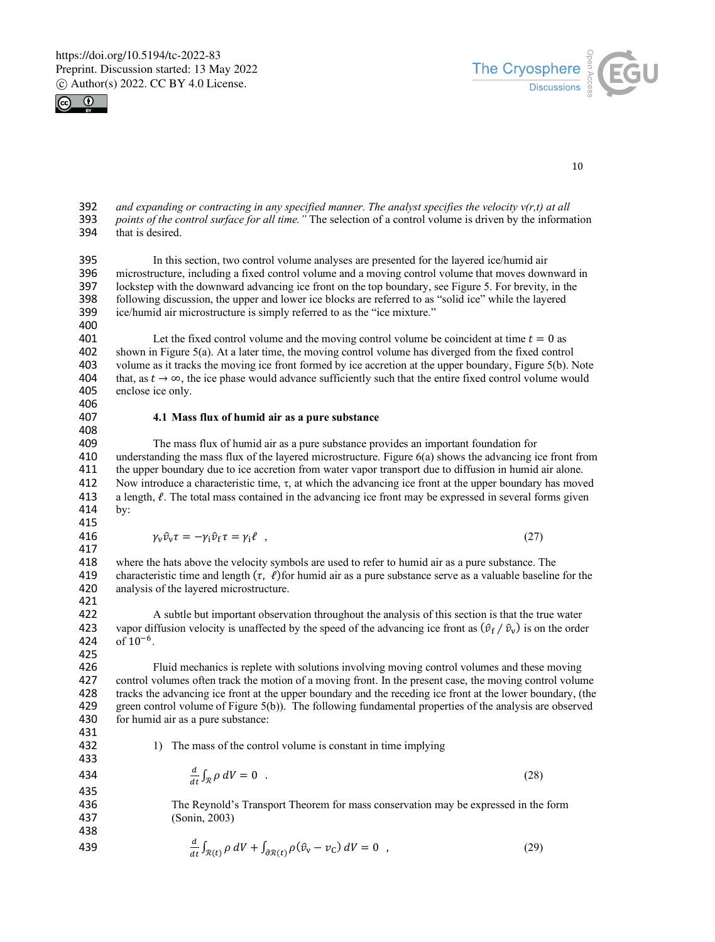



10

392 *and expanding or contracting in any specified manner. The analyst specifies the velocity v(r,t) at all*  393 *points of the control surface for all time."* The selection of a control volume is driven by the information that is desired.

395 In this section, two control volume analyses are presented for the layered ice/humid air 396 microstructure, including a fixed control volume and a moving control volume that moves down 396 microstructure, including a fixed control volume and a moving control volume that moves downward in 397 lockstep with the downward advancing ice front on the top boundary, see Figure 5. For brevity, in the 398 following discussion, the upper and lower ice blocks are referred to as "solid ice" while the layered following discussion, the upper and lower ice blocks are referred to as "solid ice" while the layered 399 ice/humid air microstructure is simply referred to as the "ice mixture." 400

401 Let the fixed control volume and the moving control volume be coincident at time  $t = 0$  as 402 shown in Figure 5(a). At a later time, the moving control volume has diverged from the fixed control shown in Figure 5(a). At a later time, the moving control volume has diverged from the fixed control 403 volume as it tracks the moving ice front formed by ice accretion at the upper boundary, Figure 5(b). Note 404 that, as  $t \to \infty$ , the ice phase would advance sufficiently such that the entire fixed control volume would 404 that, as  $t \to \infty$ , the ice phase would advance sufficiently such that the entire fixed control volume would 405 enclose ice only. enclose ice only.

# 406<br>407

#### 407 **4.1 Mass flux of humid air as a pure substance**

408<br>409 409 The mass flux of humid air as a pure substance provides an important foundation for 410 understanding the mass flux of the layered microstructure. Figure 6(a) shows the advancing i 410 understanding the mass flux of the layered microstructure. Figure 6(a) shows the advancing ice front from<br>411 the upper boundary due to ice accretion from water vapor transport due to diffusion in humid air alone. the upper boundary due to ice accretion from water vapor transport due to diffusion in humid air alone. 412 Now introduce a characteristic time,  $\tau$ , at which the advancing ice front at the upper boundary has moved 413 a length  $\ell$ . The total mass contained in the advancing ice front may be expressed in several forms give a length,  $\ell$ . The total mass contained in the advancing ice front may be expressed in several forms given 414 by:

415

416  $\gamma_v \hat{v}_v \tau = -\gamma_i \hat{v}_f \tau = \gamma_i \ell$ , (27)

417<br>418 where the hats above the velocity symbols are used to refer to humid air as a pure substance. The 419 characteristic time and length  $(\tau, \ell)$  for humid air as a pure substance serve as a valuable baseline for the 420 analysis of the layered microstructure. analysis of the layered microstructure.

421<br>422

422 A subtle but important observation throughout the analysis of this section is that the true water 423 vapor diffusion velocity is unaffected by the speed of the advancing ice front as  $(\hat{v}_f / \hat{v}_v)$  is on the order 424 of 10<sup>-6</sup>. of  $10^{-6}$ .

425<br>426 Fluid mechanics is replete with solutions involving moving control volumes and these moving control volumes often track the motion of a moving front. In the present case, the moving control volume tracks the advancing ice front at the upper boundary and the receding ice front at the lower boundary, (the green control volume of Figure 5(b)). The following fundamental properties of the analysis are observed 430 for humid air as a pure substance:

431<br>432

433

1) The mass of the control volume is constant in time implying

$$
\frac{d}{dt}\int_{\mathcal{R}}\rho\ dV=0\quad.\tag{28}
$$

435

436 The Reynold's Transport Theorem for mass conservation may be expressed in the form 437 (Sonin, 2003)

439 
$$
\frac{d}{dt} \int_{\mathcal{R}(t)} \rho \, dV + \int_{\partial \mathcal{R}(t)} \rho (\hat{v}_v - v_C) \, dV = 0 \quad , \tag{29}
$$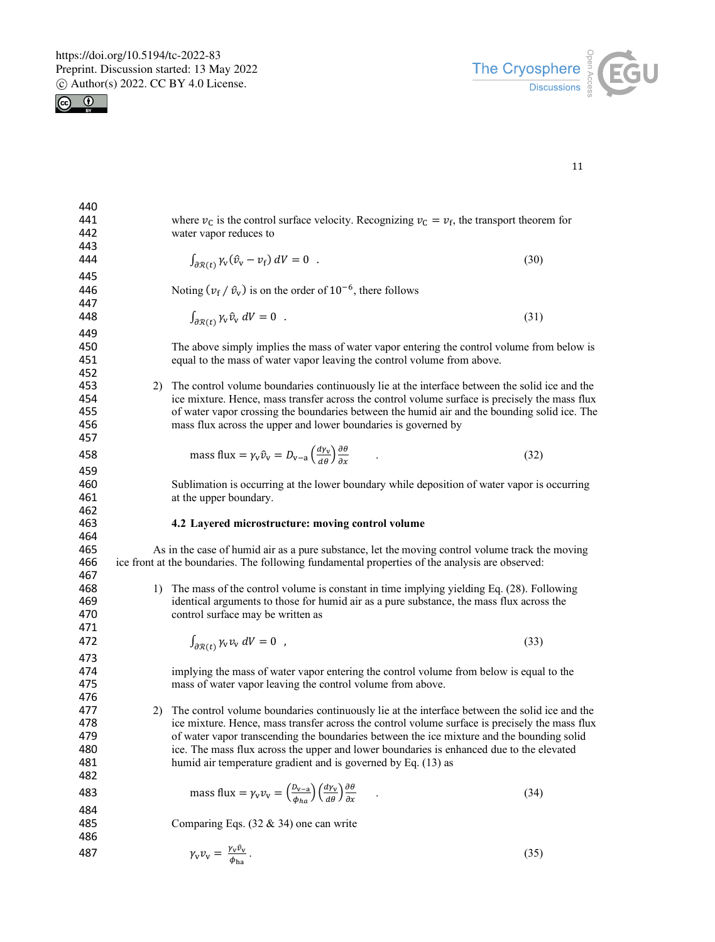



| 440 |    |                                                                                                                                          |      |
|-----|----|------------------------------------------------------------------------------------------------------------------------------------------|------|
| 441 |    | where $v_c$ is the control surface velocity. Recognizing $v_c = v_f$ , the transport theorem for                                         |      |
| 442 |    | water vapor reduces to                                                                                                                   |      |
| 443 |    |                                                                                                                                          |      |
| 444 |    | $\int_{\partial \mathcal{R}(t)} \gamma_{\rm v} (\hat{v}_{\rm v} - v_{\rm f}) dV = 0$ .                                                   | (30) |
|     |    |                                                                                                                                          |      |
| 445 |    |                                                                                                                                          |      |
| 446 |    | Noting $(\nu_f / \hat{v}_v)$ is on the order of $10^{-6}$ , there follows                                                                |      |
| 447 |    |                                                                                                                                          |      |
| 448 |    | $\int_{\partial \mathcal{R}(t)} \gamma_{\rm v} \hat{v}_{\rm v} dV = 0$ .                                                                 | (31) |
| 449 |    |                                                                                                                                          |      |
| 450 |    | The above simply implies the mass of water vapor entering the control volume from below is                                               |      |
| 451 |    | equal to the mass of water vapor leaving the control volume from above.                                                                  |      |
| 452 |    |                                                                                                                                          |      |
| 453 |    | 2) The control volume boundaries continuously lie at the interface between the solid ice and the                                         |      |
| 454 |    | ice mixture. Hence, mass transfer across the control volume surface is precisely the mass flux                                           |      |
| 455 |    | of water vapor crossing the boundaries between the humid air and the bounding solid ice. The                                             |      |
| 456 |    | mass flux across the upper and lower boundaries is governed by                                                                           |      |
| 457 |    |                                                                                                                                          |      |
| 458 |    | mass flux = $\gamma_v \hat{v}_v = D_{v-a} \left( \frac{d \gamma_v}{d \theta} \right) \frac{\partial \theta}{\partial x}$                 |      |
|     |    |                                                                                                                                          | (32) |
| 459 |    |                                                                                                                                          |      |
| 460 |    | Sublimation is occurring at the lower boundary while deposition of water vapor is occurring                                              |      |
| 461 |    | at the upper boundary.                                                                                                                   |      |
| 462 |    |                                                                                                                                          |      |
| 463 |    | 4.2 Layered microstructure: moving control volume                                                                                        |      |
| 464 |    |                                                                                                                                          |      |
| 465 |    | As in the case of humid air as a pure substance, let the moving control volume track the moving                                          |      |
| 466 |    | ice front at the boundaries. The following fundamental properties of the analysis are observed:                                          |      |
| 467 |    |                                                                                                                                          |      |
| 468 |    | 1) The mass of the control volume is constant in time implying yielding Eq. (28). Following                                              |      |
| 469 |    | identical arguments to those for humid air as a pure substance, the mass flux across the                                                 |      |
| 470 |    | control surface may be written as                                                                                                        |      |
| 471 |    |                                                                                                                                          |      |
| 472 |    | $\int_{\partial \mathcal{R}(t)} \gamma_{\rm v} v_{\rm v} dV = 0$ ,                                                                       | (33) |
| 473 |    |                                                                                                                                          |      |
| 474 |    | implying the mass of water vapor entering the control volume from below is equal to the                                                  |      |
| 475 |    | mass of water vapor leaving the control volume from above.                                                                               |      |
| 476 |    |                                                                                                                                          |      |
| 477 | 2) | The control volume boundaries continuously lie at the interface between the solid ice and the                                            |      |
| 478 |    | ice mixture. Hence, mass transfer across the control volume surface is precisely the mass flux                                           |      |
| 479 |    | of water vapor transcending the boundaries between the ice mixture and the bounding solid                                                |      |
| 480 |    | ice. The mass flux across the upper and lower boundaries is enhanced due to the elevated                                                 |      |
| 481 |    | humid air temperature gradient and is governed by Eq. (13) as                                                                            |      |
| 482 |    |                                                                                                                                          |      |
| 483 |    | mass flux = $\gamma_v v_v = \left(\frac{b_{v-a}}{\phi_{ba}}\right) \left(\frac{dv_v}{d\theta}\right) \frac{\partial \theta}{\partial x}$ | (34) |
|     |    |                                                                                                                                          |      |
| 484 |    |                                                                                                                                          |      |
| 485 |    | Comparing Eqs. $(32 \& 34)$ one can write                                                                                                |      |
| 486 |    |                                                                                                                                          |      |
| 487 |    | $\gamma_{\rm v} v_{\rm v} = \frac{\gamma_{\rm v} v_{\rm v}}{\phi_{\rm ha}}$ .                                                            | (35) |
|     |    |                                                                                                                                          |      |
|     |    |                                                                                                                                          |      |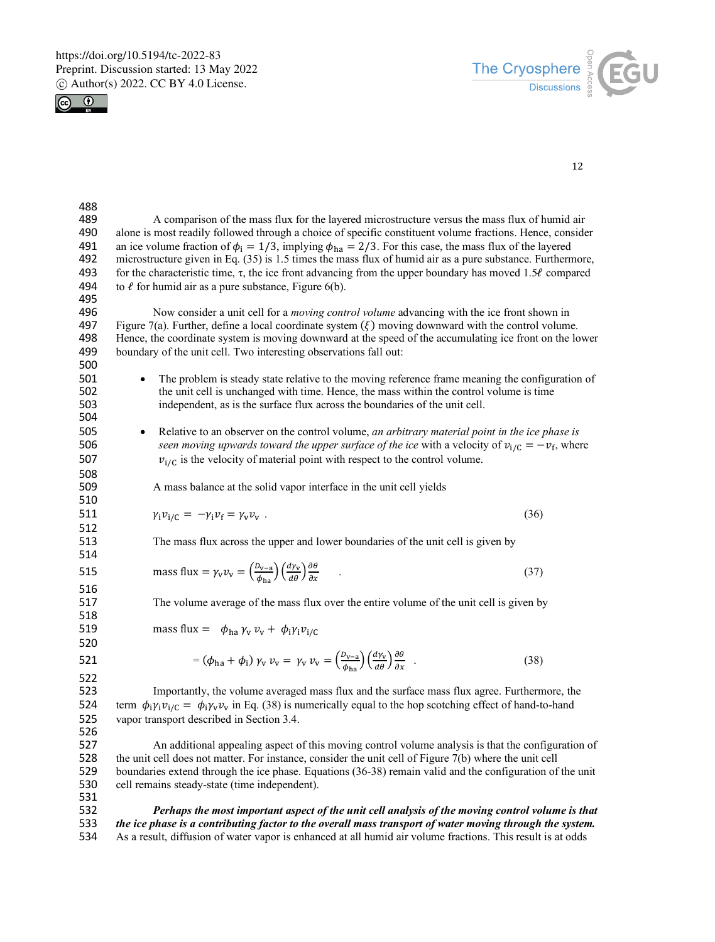



| 488 |                                                                                                                                                                                       |
|-----|---------------------------------------------------------------------------------------------------------------------------------------------------------------------------------------|
| 489 | A comparison of the mass flux for the layered microstructure versus the mass flux of humid air                                                                                        |
| 490 | alone is most readily followed through a choice of specific constituent volume fractions. Hence, consider                                                                             |
| 491 | an ice volume fraction of $\phi_i = 1/3$ , implying $\phi_{ha} = 2/3$ . For this case, the mass flux of the layered                                                                   |
| 492 | microstructure given in Eq. $(35)$ is 1.5 times the mass flux of humid air as a pure substance. Furthermore,                                                                          |
| 493 | for the characteristic time, $\tau$ , the ice front advancing from the upper boundary has moved 1.5 $\ell$ compared                                                                   |
| 494 | to $\ell$ for humid air as a pure substance, Figure 6(b).                                                                                                                             |
| 495 |                                                                                                                                                                                       |
| 496 | Now consider a unit cell for a <i>moving control volume</i> advancing with the ice front shown in                                                                                     |
| 497 | Figure 7(a). Further, define a local coordinate system $(\xi)$ moving downward with the control volume.                                                                               |
| 498 | Hence, the coordinate system is moving downward at the speed of the accumulating ice front on the lower                                                                               |
| 499 | boundary of the unit cell. Two interesting observations fall out:                                                                                                                     |
| 500 |                                                                                                                                                                                       |
| 501 | The problem is steady state relative to the moving reference frame meaning the configuration of                                                                                       |
| 502 | the unit cell is unchanged with time. Hence, the mass within the control volume is time                                                                                               |
| 503 | independent, as is the surface flux across the boundaries of the unit cell.                                                                                                           |
| 504 |                                                                                                                                                                                       |
| 505 | Relative to an observer on the control volume, an arbitrary material point in the ice phase is<br>$\bullet$                                                                           |
| 506 | seen moving upwards toward the upper surface of the ice with a velocity of $v_{i/C} = -v_f$ , where                                                                                   |
| 507 | $v_{i/C}$ is the velocity of material point with respect to the control volume.                                                                                                       |
| 508 |                                                                                                                                                                                       |
| 509 | A mass balance at the solid vapor interface in the unit cell yields                                                                                                                   |
| 510 |                                                                                                                                                                                       |
| 511 | (36)<br>$\gamma_i \nu_{i/C} = -\gamma_i \nu_f = \gamma_v \nu_v$ .                                                                                                                     |
| 512 |                                                                                                                                                                                       |
| 513 | The mass flux across the upper and lower boundaries of the unit cell is given by                                                                                                      |
| 514 |                                                                                                                                                                                       |
| 515 | mass flux = $\gamma_V v_V = \left(\frac{D_{V-A}}{v_{V}}\right) \left(\frac{d\gamma_V}{d\theta}\right) \frac{\partial \theta}{\partial x}$ .                                           |
|     | (37)                                                                                                                                                                                  |
| 516 |                                                                                                                                                                                       |
| 517 | The volume average of the mass flux over the entire volume of the unit cell is given by                                                                                               |
| 518 |                                                                                                                                                                                       |
| 519 | mass flux = $\phi_{ha} \gamma_v v_v + \phi_i \gamma_i v_{i/C}$                                                                                                                        |
| 520 |                                                                                                                                                                                       |
| 521 | $= (\phi_{ha} + \phi_i) \gamma_v \nu_v = \gamma_v \nu_v = \left(\frac{D_{v-a}}{\phi_{ha}}\right) \left(\frac{d\gamma_v}{d\theta}\right) \frac{\partial \theta}{\partial x}$ .<br>(38) |
| 522 |                                                                                                                                                                                       |
| 523 | Importantly, the volume averaged mass flux and the surface mass flux agree. Furthermore, the                                                                                          |
| 524 | term $\phi_i y_i v_{i/C} = \phi_i y_v v_v$ in Eq. (38) is numerically equal to the hop scotching effect of hand-to-hand                                                               |
| 525 | vapor transport described in Section 3.4.                                                                                                                                             |
| 526 |                                                                                                                                                                                       |
| 527 | An additional appealing aspect of this moving control volume analysis is that the configuration of                                                                                    |
| 528 | the unit cell does not matter. For instance, consider the unit cell of Figure 7(b) where the unit cell                                                                                |
| 529 | boundaries extend through the ice phase. Equations (36-38) remain valid and the configuration of the unit                                                                             |
| 530 | cell remains steady-state (time independent).                                                                                                                                         |
| 531 |                                                                                                                                                                                       |
|     |                                                                                                                                                                                       |

 *Perhaps the most important aspect of the unit cell analysis of the moving control volume is that*  533 *the ice phase is a contributing factor to the overall mass transport of water moving through the system.*<br>534 As a result, diffusion of water vapor is enhanced at all humid air volume fractions. This result is at odds As a result, diffusion of water vapor is enhanced at all humid air volume fractions. This result is at odds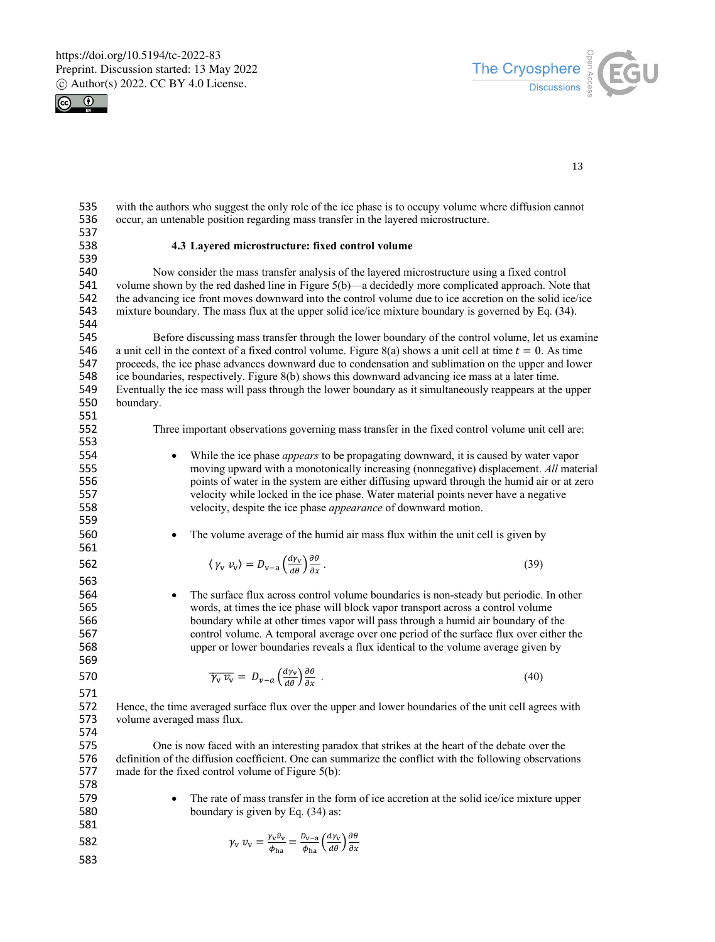



13

535 with the authors who suggest the only role of the ice phase is to occupy volume where diffusion cannot 536 occur, an untenable position regarding mass transfer in the layered microstructure.

538 **4.3 Layered microstructure: fixed control volume**

539<br>540 541 volume shown by the red dashed line in Figure 5(b)—a decidedly more complicated approach. Note that 542 the advancing ice front moves downward into the control volume due to ice accretion on the solid ice/ice 542 the advancing ice front moves downward into the control volume due to ice accretion on the solid ice/ice<br>543 mixture boundary. The mass flux at the upper solid ice/ice mixture boundary is governed by Eq. (34).

537<br>538

544<br>545

553

559

561

563

545 Before discussing mass transfer through the lower boundary of the control volume, let us examine 546 a unit cell in the context of a fixed control volume. Figure 8(a) shows a unit cell at time  $t = 0$ . As time 546 a unit cell in the context of a fixed control volume. Figure 8(a) shows a unit cell at time  $t = 0$ . As time 547 proceeds, the ice phase advances downward due to condensation and sublimation on the upper and lower 547 proceeds, the ice phase advances downward due to condensation and sublimation on the upper and lower ice boundaries, respectively. Figure 8(b) shows this downward advancing ice mass at a later time. ice boundaries, respectively. Figure 8(b) shows this downward advancing ice mass at a later time. 549 Eventually the ice mass will pass through the lower boundary as it simultaneously reappears at the upper 550 boundary. boundary. 551

mixture boundary. The mass flux at the upper solid ice/ice mixture boundary is governed by Eq. (34).

552 Three important observations governing mass transfer in the fixed control volume unit cell are:

540 Now consider the mass transfer analysis of the layered microstructure using a fixed control

- <sup>554</sup> While the ice phase *appears* to be propagating downward, it is caused by water vapor<br><sup>555</sup> moving upward with a monotonically increasing (nonnegative) displacement. *All* mate 555 moving upward with a monotonically increasing (nonnegative) displacement. *All* material 556 points of water in the system are either diffusing upward through the humid air or at zero<br>557 velocity while locked in the ice phase. Water material points never have a negative 557 velocity while locked in the ice phase. Water material points never have a negative<br>558 velocity, despite the ice phase *appearance* of downward motion. velocity, despite the ice phase *appearance* of downward motion.
- 560 The volume average of the humid air mass flux within the unit cell is given by

$$
\langle \gamma_{\rm v} \, v_{\rm v} \rangle = D_{\rm v-a} \left( \frac{d\gamma_{\rm v}}{d\theta} \right) \frac{\partial \theta}{\partial x} \,. \tag{39}
$$

564 • The surface flux across control volume boundaries is non-steady but periodic. In other words, at times the ice phase will block vapor transport across a control volume 565 words, at times the ice phase will block vapor transport across a control volume<br>566 boundary while at other times vapor will pass through a humid air boundary of the boundary while at other times vapor will pass through a humid air boundary of the 567 control volume. A temporal average over one period of the surface flux over either the 568 upper or lower boundaries reveals a flux identical to the volume average given by

$$
\overline{\gamma_v v_v} = D_{v-a} \left( \frac{d v_v}{d \theta} \right) \frac{\partial \theta}{\partial x} \tag{40}
$$

571

569

572 Hence, the time averaged surface flux over the upper and lower boundaries of the unit cell agrees with 573 volume averaged mass flux.

574

One is now faced with an interesting paradox that strikes at the heart of the debate over the 576 definition of the diffusion coefficient. One can summarize the conflict with the following observations 577 made for the fixed control volume of Figure 5(b):

- 578
- 579 The rate of mass transfer in the form of ice accretion at the solid ice/ice mixture upper 580 boundary is given by Eq. (34) as:
- 581

$$
\gamma_{\rm v} \, v_{\rm v} = \frac{\gamma_{\rm v} \hat{v}_{\rm v}}{\phi_{\rm ha}} = \frac{\rho_{\rm v-a}}{\phi_{\rm ha}} \left(\frac{d\gamma_{\rm v}}{d\theta}\right) \frac{\partial \theta}{\partial x}
$$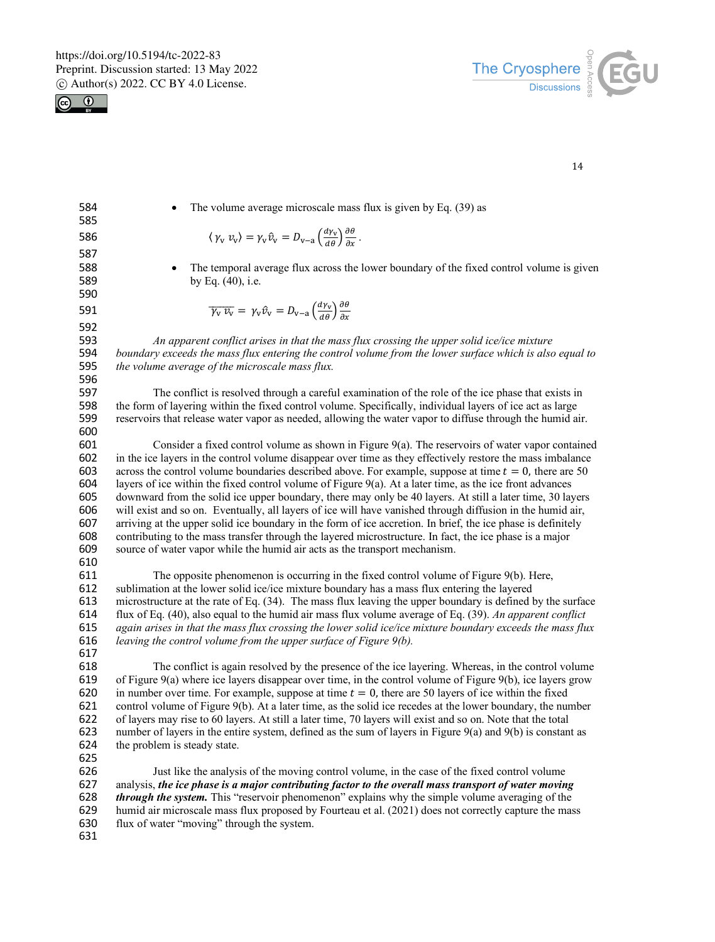



| 584<br>585 | The volume average microscale mass flux is given by Eq. (39) as                                                                                                                                                          |
|------------|--------------------------------------------------------------------------------------------------------------------------------------------------------------------------------------------------------------------------|
| 586        | $\langle \gamma_V v_v \rangle = \gamma_V \hat{v}_V = D_{V-a} \left( \frac{d \gamma_V}{d \theta} \right) \frac{\partial \theta}{\partial x}.$                                                                             |
| 587        |                                                                                                                                                                                                                          |
| 588        | The temporal average flux across the lower boundary of the fixed control volume is given                                                                                                                                 |
| 589        | by Eq. (40), i.e.                                                                                                                                                                                                        |
| 590        |                                                                                                                                                                                                                          |
| 591        | $\overline{\gamma_{\rm v} v_{\rm v}} = \gamma_{\rm v} \hat{v}_{\rm v} = D_{\rm v-a} \left( \frac{d \gamma_{\rm v}}{d \theta} \right) \frac{\partial \theta}{\partial x}$                                                 |
| 592        |                                                                                                                                                                                                                          |
| 593        | An apparent conflict arises in that the mass flux crossing the upper solid ice/ice mixture                                                                                                                               |
| 594        | boundary exceeds the mass flux entering the control volume from the lower surface which is also equal to                                                                                                                 |
| 595        | the volume average of the microscale mass flux.                                                                                                                                                                          |
| 596        |                                                                                                                                                                                                                          |
| 597        | The conflict is resolved through a careful examination of the role of the ice phase that exists in                                                                                                                       |
| 598        | the form of layering within the fixed control volume. Specifically, individual layers of ice act as large                                                                                                                |
| 599        | reservoirs that release water vapor as needed, allowing the water vapor to diffuse through the humid air.                                                                                                                |
| 600        |                                                                                                                                                                                                                          |
| 601        | Consider a fixed control volume as shown in Figure 9(a). The reservoirs of water vapor contained                                                                                                                         |
| 602        | in the ice layers in the control volume disappear over time as they effectively restore the mass imbalance                                                                                                               |
| 603        | across the control volume boundaries described above. For example, suppose at time $t = 0$ , there are 50                                                                                                                |
| 604<br>605 | layers of ice within the fixed control volume of Figure $9(a)$ . At a later time, as the ice front advances<br>downward from the solid ice upper boundary, there may only be 40 layers. At still a later time, 30 layers |
| 606        | will exist and so on. Eventually, all layers of ice will have vanished through diffusion in the humid air,                                                                                                               |
| 607        | arriving at the upper solid ice boundary in the form of ice accretion. In brief, the ice phase is definitely                                                                                                             |
| 608        | contributing to the mass transfer through the layered microstructure. In fact, the ice phase is a major                                                                                                                  |
| 609        | source of water vapor while the humid air acts as the transport mechanism.                                                                                                                                               |
| 610        |                                                                                                                                                                                                                          |
| 611        | The opposite phenomenon is occurring in the fixed control volume of Figure 9(b). Here,                                                                                                                                   |
| 612        | sublimation at the lower solid ice/ice mixture boundary has a mass flux entering the layered                                                                                                                             |
| 613        | microstructure at the rate of Eq. (34). The mass flux leaving the upper boundary is defined by the surface                                                                                                               |
| 614        | flux of Eq. (40), also equal to the humid air mass flux volume average of Eq. (39). An apparent conflict                                                                                                                 |
| 615        | again arises in that the mass flux crossing the lower solid ice/ice mixture boundary exceeds the mass flux                                                                                                               |
| 616        | leaving the control volume from the upper surface of Figure 9(b).                                                                                                                                                        |
| 617        |                                                                                                                                                                                                                          |
| 618        | The conflict is again resolved by the presence of the ice layering. Whereas, in the control volume                                                                                                                       |
| 619        | of Figure $9(a)$ where ice layers disappear over time, in the control volume of Figure $9(b)$ , ice layers grow                                                                                                          |
| 620        | in number over time. For example, suppose at time $t = 0$ , there are 50 layers of ice within the fixed                                                                                                                  |
| 621        | control volume of Figure 9(b). At a later time, as the solid ice recedes at the lower boundary, the number                                                                                                               |
| 622        | of layers may rise to 60 layers. At still a later time, 70 layers will exist and so on. Note that the total                                                                                                              |
| 623        | number of layers in the entire system, defined as the sum of layers in Figure 9(a) and 9(b) is constant as                                                                                                               |
| 624<br>C2E | the problem is steady state.                                                                                                                                                                                             |
|            |                                                                                                                                                                                                                          |

625<br>626 Just like the analysis of the moving control volume, in the case of the fixed control volume analysis, *the ice phase is a major contributing factor to the overall mass transport of water moving*  through the system. This "reservoir phenomenon" explains why the simple volume averaging of the 629 humid air microscale mass flux proposed by Fourteau et al. (2021) does not correctly capture the mass 630 flux of water "moving" through the system. flux of water "moving" through the system.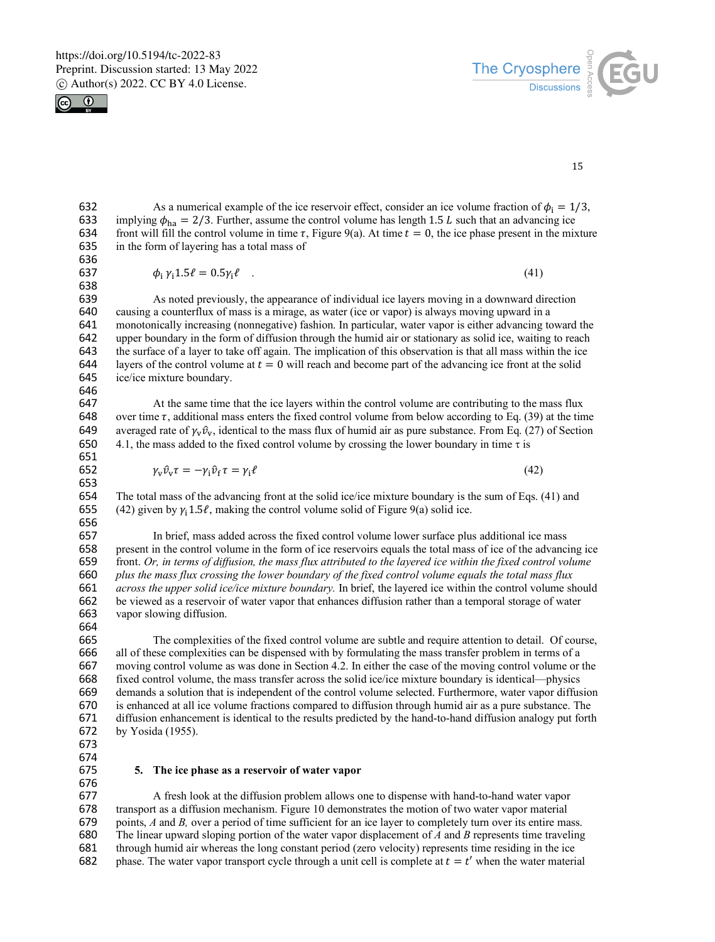



15

632 As a numerical example of the ice reservoir effect, consider an ice volume fraction of  $\phi_i = 1/3$ , 633 implying  $\phi_{h2} = 2/3$ . Further, assume the control volume has length 1.5 L such that an advancing ice 633 implying  $\phi_{ha} = 2/3$ . Further, assume the control volume has length 1.5 *L* such that an advancing ice 634 front will fill the control volume in time  $\tau$ , Figure 9(a). At time  $t = 0$ , the ice phase present in the mi front will fill the control volume in time  $\tau$ , Figure 9(a). At time  $t = 0$ , the ice phase present in the mixture 635 in the form of layering has a total mass of

636 638

637  $\phi_i \gamma_i 1.5 \ell = 0.5 \gamma_i \ell$  (41)

639 As noted previously, the appearance of individual ice layers moving in a downward direction 640 causing a counterflux of mass is a mirage, as water (ice or vapor) is always moving upward in a 640 causing a counterflux of mass is a mirage, as water (ice or vapor) is always moving upward in a 641 monotonically increasing (nonnegative) fashion. In particular, water vapor is either advancing toward the 642 upper boundary in the form of diffusion through the humid air or stationary as solid ice, waiting to reach upper boundary in the form of diffusion through the humid air or stationary as solid ice, waiting to reach 643 the surface of a layer to take off again. The implication of this observation is that all mass within the ice 644 layers of the control volume at  $t = 0$  will reach and become part of the advancing ice front at the sol layers of the control volume at  $t = 0$  will reach and become part of the advancing ice front at the solid 645 ice/ice mixture boundary.

646

647 At the same time that the ice layers within the control volume are contributing to the mass flux 648 over time  $\tau$ , additional mass enters the fixed control volume from below according to Eq. (39) at the time 649 averaged rate of  $\gamma_v \hat{v}_v$ , identical to the mass flux of humid air as pure substance. From Eq. (27) o 649 averaged rate of  $\gamma_v \hat{v}_v$ , identical to the mass flux of humid air as pure substance. From Eq. (27) of Section 650 4.1, the mass added to the fixed control volume by crossing the lower boundary in time  $\tau$  is 4.1, the mass added to the fixed control volume by crossing the lower boundary in time  $\tau$  is 651

$$
\gamma_{\mathbf{v}} \hat{v}_{\mathbf{v}} \tau = -\gamma_{i} \hat{v}_{f} \tau = \gamma_{i} \ell \tag{42}
$$

653<br>654 The total mass of the advancing front at the solid ice/ice mixture boundary is the sum of Eqs. (41) and 655 (42) given by  $\gamma_1$ 1.5 $\ell$ , making the control volume solid of Figure 9(a) solid ice. 656

 In brief, mass added across the fixed control volume lower surface plus additional ice mass present in the control volume in the form of ice reservoirs equals the total mass of ice of the advancing ice front. *Or, in terms of diffusion, the mass flux attributed to the layered ice within the fixed control volume plus the mass flux crossing the lower boundary of the fixed control volume equals the total mass flux across the upper solid ice/ice mixture boundary.* In brief, the layered ice within the control volume should be viewed as a reservoir of water vapor that enhances diffusion rather than a temporal storage of water vapor slowing diffusion.

664

665 The complexities of the fixed control volume are subtle and require attention to detail. Of course, 666 all of these complexities can be dispensed with by formulating the mass transfer problem in terms of a all of these complexities can be dispensed with by formulating the mass transfer problem in terms of a moving control volume as was done in Section 4.2. In either the case of the moving control volume or the fixed control volume, the mass transfer across the solid ice/ice mixture boundary is identical—physics demands a solution that is independent of the control volume selected. Furthermore, water vapor diffusion is enhanced at all ice volume fractions compared to diffusion through humid air as a pure substance. The diffusion enhancement is identical to the results predicted by the hand-to-hand diffusion analogy put forth by Yosida (1955).

- 673
- 674<br>675

#### 675 **5. The ice phase as a reservoir of water vapor**

676

 A fresh look at the diffusion problem allows one to dispense with hand-to-hand water vapor transport as a diffusion mechanism. Figure 10 demonstrates the motion of two water vapor material points, *A* and *B,* over a period of time sufficient for an ice layer to completely turn over its entire mass. The linear upward sloping portion of the water vapor displacement of *A* and *B* represents time traveling 681 through humid air whereas the long constant period (zero velocity) represents time residing in the ice 682 phase. The water vapor transport cycle through a unit cell is complete at  $t = t'$  when the water materi phase. The water vapor transport cycle through a unit cell is complete at  $t = t'$  when the water material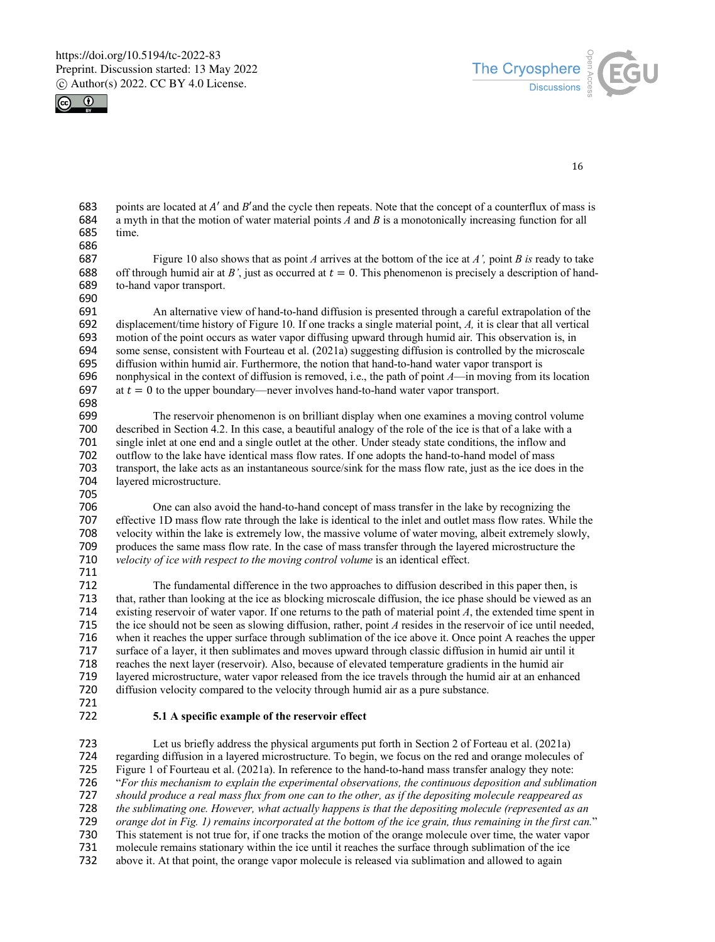



16

683 points are located at  $A'$  and  $B'$  and the cycle then repeats. Note that the concept of a counterflux of mass is 684 a myth in that the motion of water material points  $A$  and  $B$  is a monotonically increasing functi 684 a myth in that the motion of water material points *A* and *B* is a monotonically increasing function for all time.

686<br>687 687 Figure 10 also shows that as point *A* arrives at the bottom of the ice at *A'*, point *B* is ready to take 688 off through humid air at *B'*, just as occurred at  $t = 0$ . This phenomenon is precisely a description of 688 off through humid air at *B'*, just as occurred at  $t = 0$ . This phenomenon is precisely a description of hand-689 to-hand vapor transport. to-hand vapor transport. 690

691 An alternative view of hand-to-hand diffusion is presented through a careful extrapolation of the 692 displacement/time history of Figure 10. If one tracks a single material point. A, it is clear that all vertical 692 displacement/time history of Figure 10. If one tracks a single material point, *A*, it is clear that all vertical 693 motion of the point occurs as water vapor diffusing upward through humid air. This observation is, i 693 motion of the point occurs as water vapor diffusing upward through humid air. This observation is, in 694 some sense, consistent with Fourteau et al. (2021a) suggesting diffusion is controlled by the microscal 694 some sense, consistent with Fourteau et al. (2021a) suggesting diffusion is controlled by the microscale 695 diffusion within humid air. Furthermore, the notion that hand-to-hand water vapor transport is 695 diffusion within humid air. Furthermore, the notion that hand-to-hand water vapor transport is 696 nonphysical in the context of diffusion is removed, i.e., the path of point  $A$ —in moving from it 696 nonphysical in the context of diffusion is removed, i.e., the path of point  $A$ —in moving from its location 697 at  $t = 0$  to the upper boundary—never involves hand-to-hand water vapor transport at  $t = 0$  to the upper boundary—never involves hand-to-hand water vapor transport.

698<br>699

699 The reservoir phenomenon is on brilliant display when one examines a moving control volume<br>700 described in Section 4.2. In this case, a beautiful analogy of the role of the ice is that of a lake with a 700 described in Section 4.2. In this case, a beautiful analogy of the role of the ice is that of a lake with a<br>701 single inlet at one end and a single outlet at the other. Under steady state conditions, the inflow and 701 single inlet at one end and a single outlet at the other. Under steady state conditions, the inflow and 702 outflow to the lake have identical mass flow rates. If one adopts the hand-to-hand model of mass 702 outflow to the lake have identical mass flow rates. If one adopts the hand-to-hand model of mass 703 transport, the lake acts as an instantaneous source/sink for the mass flow rate, just as the ice does 703 transport, the lake acts as an instantaneous source/sink for the mass flow rate, just as the ice does in the layered microstructure.

705

706 One can also avoid the hand-to-hand concept of mass transfer in the lake by recognizing the 707 effective 1D mass flow rate through the lake is identical to the inlet and outlet mass flow rates. While 707 effective 1D mass flow rate through the lake is identical to the inlet and outlet mass flow rates. While the 708 velocity within the lake is extremely low, the massive volume of water moving, albeit extremely slowly. 708 velocity within the lake is extremely low, the massive volume of water moving, albeit extremely slowly, 709 produces the same mass flow rate. In the case of mass transfer through the layered microstructure the 710 velocity of ice with respect to the moving control volume is an identical effect. velocity of ice with respect to the moving control volume is an identical effect.

711

The fundamental difference in the two approaches to diffusion described in this paper then, is 713 that, rather than looking at the ice as blocking microscale diffusion, the ice phase should be viewed as an 714 existing reservoir of water vapor. If one returns to the path of material point *A*, the extended time spent in 715 the ice should not be seen as slowing diffusion, rather, point *A* resides in the reservoir of ice until needed,<br>716 when it reaches the upper surface through sublimation of the ice above it. Once point A reaches the u when it reaches the upper surface through sublimation of the ice above it. Once point A reaches the upper 717 surface of a layer, it then sublimates and moves upward through classic diffusion in humid air until it 718 reaches the next layer (reservoir). Also, because of elevated temperature gradients in the humid air 719 layered microstructure, water vapor released from the ice travels through the humid air at an enhanced 720 diffusion velocity compared to the velocity through humid air as a pure substance. diffusion velocity compared to the velocity through humid air as a pure substance.

721

### 722 **5.1 A specific example of the reservoir effect**

723 Let us briefly address the physical arguments put forth in Section 2 of Forteau et al. (2021a) 724 regarding diffusion in a layered microstructure. To begin, we focus on the red and orange molecules of 725 Figure 1 of Fourteau et al. (2021a). In reference to the hand-to-hand mass transfer analogy they note: Figure 1 of Fourteau et al. (2021a). In reference to the hand-to-hand mass transfer analogy they note: 726 "*For this mechanism to explain the experimental observations, the continuous deposition and sublimation*  727 *should produce a real mass flux from one can to the other, as if the depositing molecule reappeared as*  728 *the sublimating one. However, what actually happens is that the depositing molecule (represented as an*  729 *orange dot in Fig. 1) remains incorporated at the bottom of the ice grain, thus remaining in the first can.*" 730 This statement is not true for, if one tracks the motion of the orange molecule over time, the water vapor<br>731 molecule remains stationary within the ice until it reaches the surface through sublimation of the ice molecule remains stationary within the ice until it reaches the surface through sublimation of the ice 732 above it. At that point, the orange vapor molecule is released via sublimation and allowed to again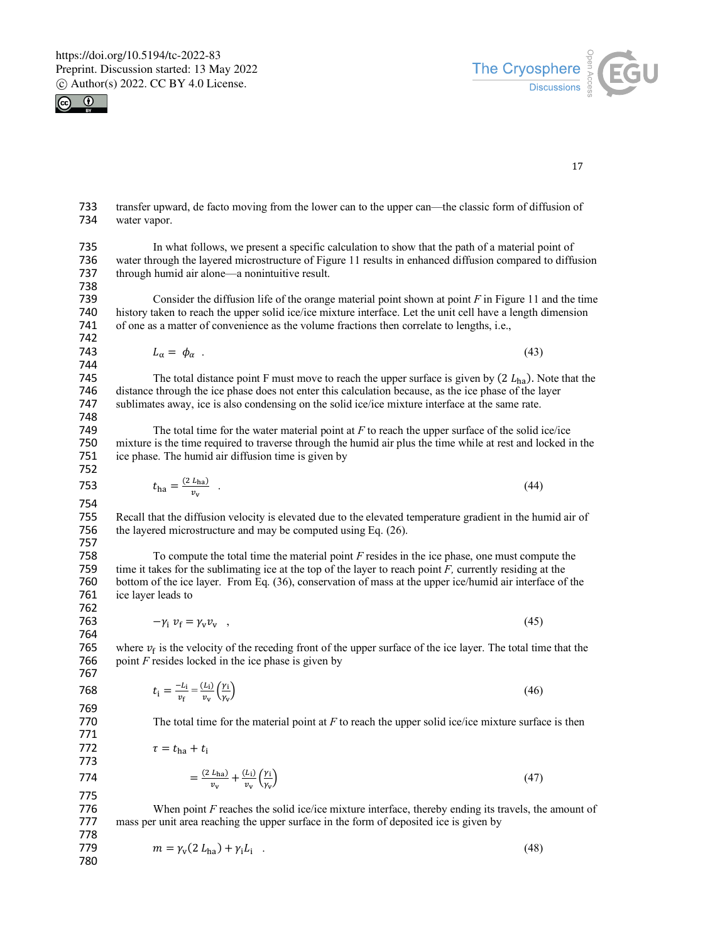



17

733 transfer upward, de facto moving from the lower can to the upper can—the classic form of diffusion of 734 water vapor.

735 In what follows, we present a specific calculation to show that the path of a material point of 736 water through the layered microstructure of Figure 11 results in enhanced diffusion compared to diffusion<br>737 through humid air alone—a nonintuitive result. through humid air alone—a nonintuitive result.

- 738 Consider the diffusion life of the orange material point shown at point  $F$  in Figure 11 and the time 740 history taken to reach the upper solid ice/ice mixture interface. Let the unit cell have a length dimension 741 of one as a matter of convenience as the volume fractions then correlate to lengths, i.e., of one as a matter of convenience as the volume fractions then correlate to lengths, i.e., 742
	- $L_{\alpha} = \phi_{\alpha}$  . (43)

744 The total distance point F must move to reach the upper surface is given by  $(2 L_{ha})$ . Note that the 746 distance through the ice phase does not enter this calculation because, as the ice phase of the laver distance through the ice phase does not enter this calculation because, as the ice phase of the layer 747 sublimates away, ice is also condensing on the solid ice/ice mixture interface at the same rate.

748 The total time for the water material point at *F* to reach the upper surface of the solid ice/ice 750 mixture is the time required to traverse through the humid air plus the time while at rest and locked in the ice phase. The humid air diffusion time is given by 752

753 
$$
t_{\text{ha}} = \frac{(2 L_{\text{ha}})}{v_v} \tag{44}
$$

754

755 Recall that the diffusion velocity is elevated due to the elevated temperature gradient in the humid air of 756 the layered microstructure and may be computed using Eq. (26). the layered microstructure and may be computed using Eq.  $(26)$ .

757

758 To compute the total time the material point *F* resides in the ice phase, one must compute the 759 time it takes for the sublimating ice at the top of the layer to reach point *F*, currently residing at the 760 bottom of the ice layer. From Eq. (36), conservation of mass at the upper ice/humid air interface of bottom of the ice layer. From Eq. (36), conservation of mass at the upper ice/humid air interface of the 761 ice layer leads to

762 764

763  $-y_i v_f = y_v v_v$ , (45)

765 where  $v_f$  is the velocity of the receding front of the upper surface of the ice layer. The total time that the 766 point F resides locked in the ice phase is given by point  $F$  resides locked in the ice phase is given by 767

768 
$$
t_{i} = \frac{-L_{i}}{v_{f}} = \frac{(L_{i})}{v_{v}} \left(\frac{y_{i}}{y_{v}}\right)
$$
 (46)  
769 The total time for the material point at *F* to reach the upper solid ice/ice mixture surface

The total time for the material point at  $F$  to reach the upper solid ice/ice mixture surface is then

772  $\tau = t_{\text{ha}} + t_{\text{i}}$ 

774 = 
$$
\frac{(2 L_{\text{ha}})}{v_v} + \frac{(L_i)}{v_v} \left(\frac{\gamma_i}{\gamma_v}\right)
$$
 (47)

771

773

775 When point *F* reaches the solid ice/ice mixture interface, thereby ending its travels, the amount of 777 mass per unit area reaching the upper surface in the form of deposited ice is given by 778

779  $m = \gamma_v (2 L_{ba}) + \gamma_i L_i$  (48) 780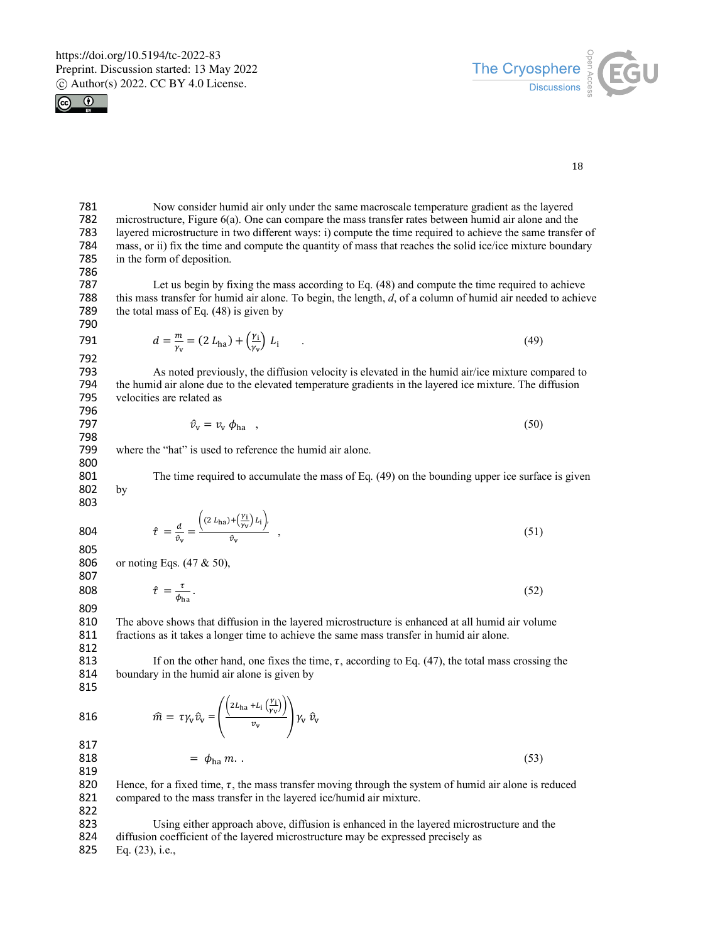



18

781 Now consider humid air only under the same macroscale temperature gradient as the layered<br>782 microstructure, Figure 6(a). One can compare the mass transfer rates between humid air alone and the 782 microstructure, Figure 6(a). One can compare the mass transfer rates between humid air alone and the 783 lavered microstructure in two different ways: i) compute the time required to achieve the same transfer 783 layered microstructure in two different ways: i) compute the time required to achieve the same transfer of 784 mass, or ii) fix the time and compute the quantity of mass that reaches the solid ice/ice mixture boundary 784 mass, or ii) fix the time and compute the quantity of mass that reaches the solid ice/ice mixture boundary<br>785 in the form of deposition. in the form of deposition.

786

Let us begin by fixing the mass according to Eq.  $(48)$  and compute the time required to achieve 788 this mass transfer for humid air alone. To begin, the length, *d*, of a column of humid air needed to achieve 789 the total mass of Eq. (48) is given by the total mass of Eq.  $(48)$  is given by 790

791 
$$
d = \frac{m}{\gamma_v} = (2 L_{\text{ha}}) + (\frac{\gamma_i}{\gamma_v}) L_i
$$
 (49)

 $\overline{ }$ 

792 793 As noted previously, the diffusion velocity is elevated in the humid air/ice mixture compared to<br>794 the humid air alone due to the elevated temperature gradients in the lavered ice mixture. The diffusion 794 the humid air alone due to the elevated temperature gradients in the layered ice mixture. The diffusion velocities are related as 796

$$
\hat{\nu}_{\rm v} = \nu_{\rm v} \, \phi_{\rm ha} \quad , \tag{50}
$$

798 where the "hat" is used to reference the humid air alone.

 $\overline{ }$ 

 $\overline{11}$ 

801 The time required to accumulate the mass of Eq. (49) on the bounding upper ice surface is given 802 by

803

800

804 
$$
\hat{\tau} = \frac{d}{\hat{v}_v} = \frac{(2 L_{ha}) + (\frac{Y_i}{Y_v}) L_i}{\hat{v}_v},
$$
\n(51)

805

806 or noting Eqs. (47 & 50), 807

808  $\hat{\tau} = \frac{\tau}{\phi_{\text{ha}}}.$  (52)

809<br>810 The above shows that diffusion in the layered microstructure is enhanced at all humid air volume 811 fractions as it takes a longer time to achieve the same mass transfer in humid air alone. 812

813 If on the other hand, one fixes the time,  $\tau$ , according to Eq. (47), the total mass crossing the 814 boundary in the humid air alone is given by

815

816 
$$
\widehat{m} = \tau \gamma_v \widehat{v}_v = \left( \frac{\left( 2L_{\text{ha}} + L_i \left( \frac{Y_i}{Y_v} \right) \right)}{v_v} \right) \gamma_v \widehat{v}_v
$$
  
817  
818 
$$
= \phi_{\text{ha}} m. \tag{53}
$$

$$
m = \phi_{\text{ha}} m. \tag{53}
$$

 $\Delta$ 

817<br>818

820 Hence, for a fixed time,  $\tau$ , the mass transfer moving through the system of humid air alone is reduced 821 compared to the mass transfer in the layered ice/humid air mixture.

822

823 Using either approach above, diffusion is enhanced in the layered microstructure and the 824 diffusion coefficient of the layered microstructure may be expressed precisely as

825 Eq. (23), i.e.,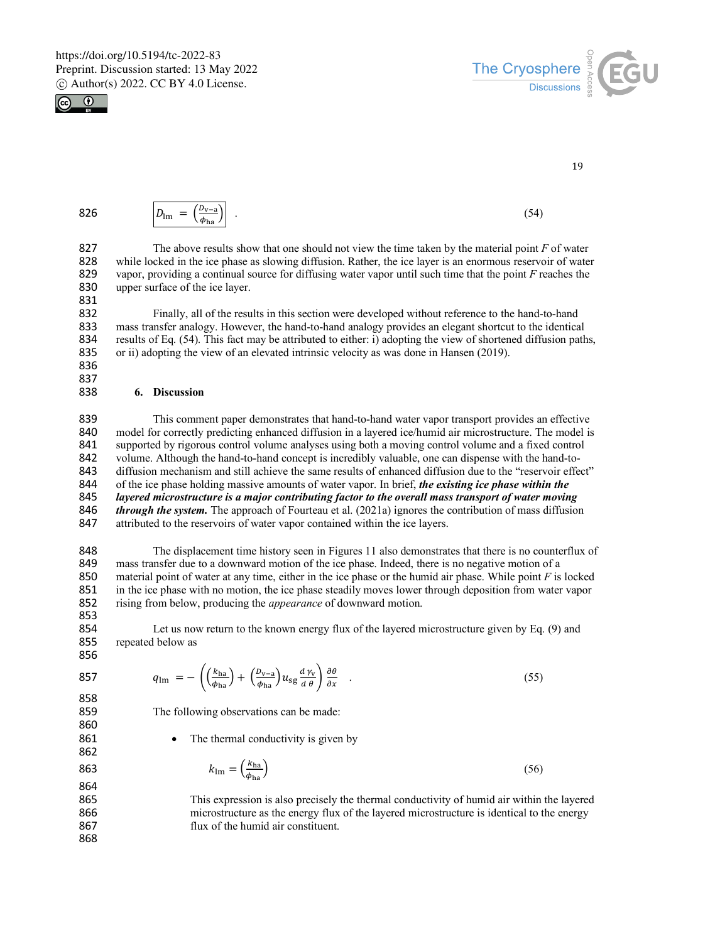



19

| 826 | $v_{\rm v-a}$<br>$D_{\text{lm}}$<br>$\overline{\phantom{0}}$<br>$\Phi$ <sup><math>\mathbf{r}</math></sup><br>'na | $\sim$<br>٦4<br>. . |
|-----|------------------------------------------------------------------------------------------------------------------|---------------------|
|-----|------------------------------------------------------------------------------------------------------------------|---------------------|

827 The above results show that one should not view the time taken by the material point *F* of water 828 while locked in the ice phase as slowing diffusion. Rather, the ice layer is an enormous reservoir of water 829 vapor, providing a continual source for diffusing water vapor until such time that the point F reaches the 829 vapor, providing a continual source for diffusing water vapor until such time that the point *F* reaches the 830 upper surface of the ice layer. 831

832 Finally, all of the results in this section were developed without reference to the hand-to-hand<br>833 mass transfer analogy. However, the hand-to-hand analogy provides an elegant shortcut to the identica 833 mass transfer analogy. However, the hand-to-hand analogy provides an elegant shortcut to the identical 834 results of Eq. (54). This fact may be attributed to either: i) adopting the view of shortened diffusion path 834 results of Eq. (54). This fact may be attributed to either: i) adopting the view of shortened diffusion paths,<br>835 or ii) adopting the view of an elevated intrinsic velocity as was done in Hansen (2019). or ii) adopting the view of an elevated intrinsic velocity as was done in Hansen (2019).

836 837

#### 838 **6. Discussion**

 This comment paper demonstrates that hand-to-hand water vapor transport provides an effective model for correctly predicting enhanced diffusion in a layered ice/humid air microstructure. The model is supported by rigorous control volume analyses using both a moving control volume and a fixed control volume. Although the hand-to-hand concept is incredibly valuable, one can dispense with the hand-to- diffusion mechanism and still achieve the same results of enhanced diffusion due to the "reservoir effect" 844 of the ice phase holding massive amounts of water vapor. In brief, *the existing ice phase within the 845 layered microstructure is a major contributing factor to the overall mass transport of water movin layered microstructure is a major contributing factor to the overall mass transport of water moving*<br>846 *through the system*. The approach of Fourteau et al. (2021a) ignores the contribution of mass diffusion *through the system.* The approach of Fourteau et al. (2021a) ignores the contribution of mass diffusion 847 attributed to the reservoirs of water vapor contained within the ice layers.

 The displacement time history seen in Figures 11 also demonstrates that there is no counterflux of mass transfer due to a downward motion of the ice phase. Indeed, there is no negative motion of a material point of water at any time, either in the ice phase or the humid air phase. While point *F* is locked in the ice phase with no motion, the ice phase steadily moves lower through deposition from water vapor rising from below, producing the *appearance* of downward motion.

853<br>854

860

862

864

868

Let us now return to the known energy flux of the layered microstructure given by Eq. (9) and 855 repeated below as 856

857 
$$
q_{\text{lm}} = -\left(\left(\frac{k_{\text{ha}}}{\phi_{\text{ha}}}\right) + \left(\frac{D_{\text{v}-\text{a}}}{\phi_{\text{ha}}}\right)u_{\text{sg}}\frac{d\gamma_{\text{v}}}{d\theta}\right)\frac{\partial\theta}{\partial x} \quad . \tag{55}
$$

859 The following observations can be made:

861 • The thermal conductivity is given by

$$
k_{\rm lm} = \left(\frac{k_{\rm ha}}{\phi_{\rm ha}}\right) \tag{56}
$$

865 This expression is also precisely the thermal conductivity of humid air within the layered 866 microstructure as the energy flux of the layered microstructure is identical to the energy 867 flux of the humid air constituent.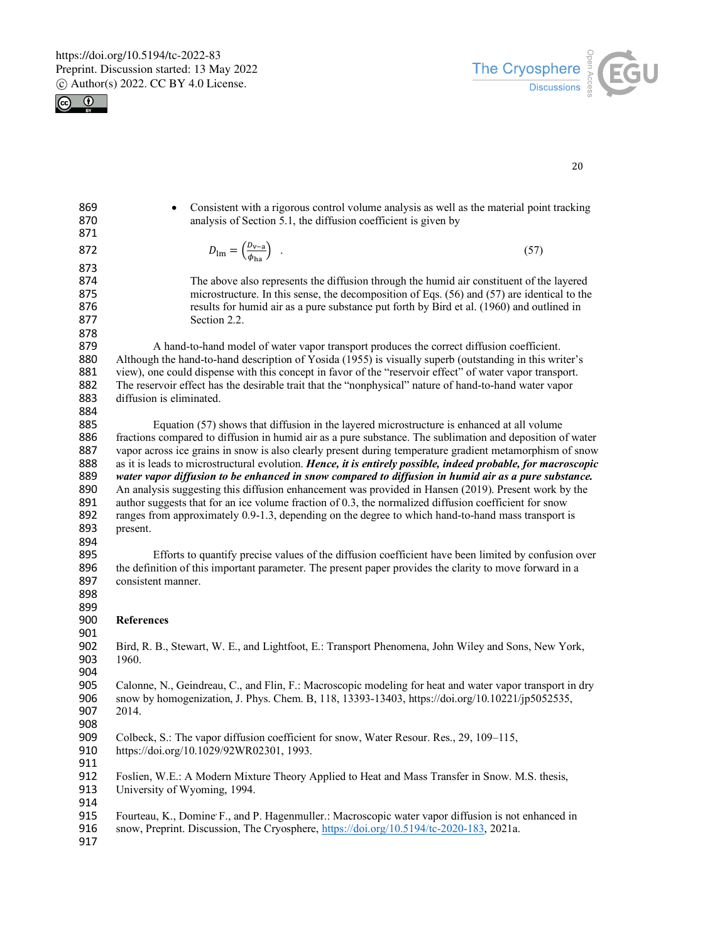



| 869<br>870<br>871                                    | Consistent with a rigorous control volume analysis as well as the material point tracking<br>analysis of Section 5.1, the diffusion coefficient is given by                                                                                                                                                                                                                                                                                                                                                                                                                                                                                                                                                                                                                                                                                                         |
|------------------------------------------------------|---------------------------------------------------------------------------------------------------------------------------------------------------------------------------------------------------------------------------------------------------------------------------------------------------------------------------------------------------------------------------------------------------------------------------------------------------------------------------------------------------------------------------------------------------------------------------------------------------------------------------------------------------------------------------------------------------------------------------------------------------------------------------------------------------------------------------------------------------------------------|
| 872                                                  | $D_{\text{lm}} = \left(\frac{D_{\text{v}-\text{a}}}{\phi_{\text{ho}}} \right)$ .<br>(57)                                                                                                                                                                                                                                                                                                                                                                                                                                                                                                                                                                                                                                                                                                                                                                            |
| 873<br>874<br>875<br>876<br>877<br>878               | The above also represents the diffusion through the humid air constituent of the layered<br>microstructure. In this sense, the decomposition of Eqs. (56) and (57) are identical to the<br>results for humid air as a pure substance put forth by Bird et al. (1960) and outlined in<br>Section 2.2.                                                                                                                                                                                                                                                                                                                                                                                                                                                                                                                                                                |
| 879<br>880<br>881<br>882<br>883<br>884               | A hand-to-hand model of water vapor transport produces the correct diffusion coefficient.<br>Although the hand-to-hand description of Yosida (1955) is visually superb (outstanding in this writer's<br>view), one could dispense with this concept in favor of the "reservoir effect" of water vapor transport.<br>The reservoir effect has the desirable trait that the "nonphysical" nature of hand-to-hand water vapor<br>diffusion is eliminated.                                                                                                                                                                                                                                                                                                                                                                                                              |
| 885<br>886<br>887<br>888<br>889<br>890<br>891<br>892 | Equation (57) shows that diffusion in the layered microstructure is enhanced at all volume<br>fractions compared to diffusion in humid air as a pure substance. The sublimation and deposition of water<br>vapor across ice grains in snow is also clearly present during temperature gradient metamorphism of snow<br>as it is leads to microstructural evolution. Hence, it is entirely possible, indeed probable, for macroscopic<br>water vapor diffusion to be enhanced in snow compared to diffusion in humid air as a pure substance.<br>An analysis suggesting this diffusion enhancement was provided in Hansen (2019). Present work by the<br>author suggests that for an ice volume fraction of 0.3, the normalized diffusion coefficient for snow<br>ranges from approximately 0.9-1.3, depending on the degree to which hand-to-hand mass transport is |
| 893<br>894<br>895<br>896<br>897<br>898<br>899        | present.<br>Efforts to quantify precise values of the diffusion coefficient have been limited by confusion over<br>the definition of this important parameter. The present paper provides the clarity to move forward in a<br>consistent manner.                                                                                                                                                                                                                                                                                                                                                                                                                                                                                                                                                                                                                    |
| 900<br>901                                           | <b>References</b>                                                                                                                                                                                                                                                                                                                                                                                                                                                                                                                                                                                                                                                                                                                                                                                                                                                   |
| 902<br>903<br>904                                    | Bird, R. B., Stewart, W. E., and Lightfoot, E.: Transport Phenomena, John Wiley and Sons, New York,<br>1960.                                                                                                                                                                                                                                                                                                                                                                                                                                                                                                                                                                                                                                                                                                                                                        |
| 905<br>906<br>907<br>908                             | Calonne, N., Geindreau, C., and Flin, F.: Macroscopic modeling for heat and water vapor transport in dry<br>snow by homogenization, J. Phys. Chem. B, 118, 13393-13403, https://doi.org/10.10221/jp5052535,<br>2014.                                                                                                                                                                                                                                                                                                                                                                                                                                                                                                                                                                                                                                                |
| 909<br>910<br>911                                    | Colbeck, S.: The vapor diffusion coefficient for snow, Water Resour. Res., 29, 109-115,<br>https://doi.org/10.1029/92WR02301, 1993.                                                                                                                                                                                                                                                                                                                                                                                                                                                                                                                                                                                                                                                                                                                                 |
| 912<br>913<br>914                                    | Foslien, W.E.: A Modern Mixture Theory Applied to Heat and Mass Transfer in Snow. M.S. thesis,<br>University of Wyoming, 1994.                                                                                                                                                                                                                                                                                                                                                                                                                                                                                                                                                                                                                                                                                                                                      |
| 915<br>916<br>917                                    | Fourteau, K., Domine F., and P. Hagenmuller.: Macroscopic water vapor diffusion is not enhanced in<br>snow, Preprint. Discussion, The Cryosphere, https://doi.org/10.5194/tc-2020-183, 2021a.                                                                                                                                                                                                                                                                                                                                                                                                                                                                                                                                                                                                                                                                       |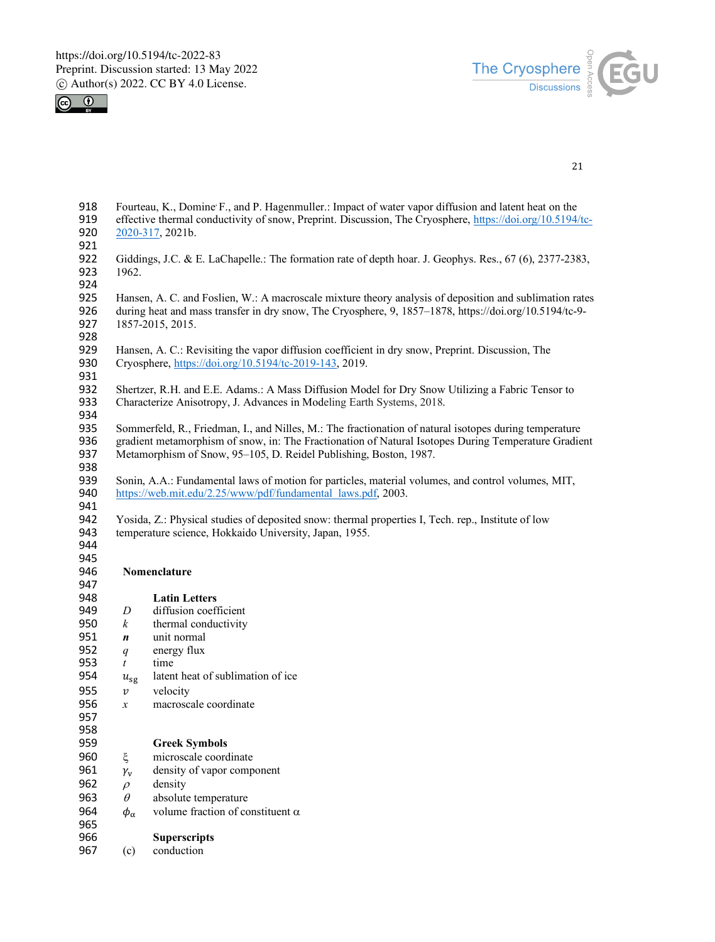



| 918<br>919<br>920<br>921 |                            | Fourteau, K., Domine F., and P. Hagenmuller.: Impact of water vapor diffusion and latent heat on the<br>effective thermal conductivity of snow, Preprint. Discussion, The Cryosphere, https://doi.org/10.5194/tc-<br>2020-317, 2021b.                                               |
|--------------------------|----------------------------|-------------------------------------------------------------------------------------------------------------------------------------------------------------------------------------------------------------------------------------------------------------------------------------|
| 922<br>923<br>924        | 1962.                      | Giddings, J.C. & E. LaChapelle.: The formation rate of depth hoar. J. Geophys. Res., 67 (6), 2377-2383,                                                                                                                                                                             |
| 925<br>926<br>927<br>928 |                            | Hansen, A. C. and Foslien, W.: A macroscale mixture theory analysis of deposition and sublimation rates<br>during heat and mass transfer in dry snow, The Cryosphere, 9, 1857–1878, https://doi.org/10.5194/tc-9-<br>1857-2015, 2015.                                               |
| 929<br>930<br>931        |                            | Hansen, A. C.: Revisiting the vapor diffusion coefficient in dry snow, Preprint. Discussion, The<br>Cryosphere, https://doi.org/10.5194/tc-2019-143, 2019.                                                                                                                          |
| 932<br>933<br>934        |                            | Shertzer, R.H. and E.E. Adams.: A Mass Diffusion Model for Dry Snow Utilizing a Fabric Tensor to<br>Characterize Anisotropy, J. Advances in Modeling Earth Systems, 2018.                                                                                                           |
| 935<br>936<br>937<br>938 |                            | Sommerfeld, R., Friedman, I., and Nilles, M.: The fractionation of natural isotopes during temperature<br>gradient metamorphism of snow, in: The Fractionation of Natural Isotopes During Temperature Gradient<br>Metamorphism of Snow, 95-105, D. Reidel Publishing, Boston, 1987. |
| 939<br>940<br>941        |                            | Sonin, A.A.: Fundamental laws of motion for particles, material volumes, and control volumes, MIT,<br>https://web.mit.edu/2.25/www/pdf/fundamental_laws.pdf, 2003.                                                                                                                  |
| 942<br>943<br>944        |                            | Yosida, Z.: Physical studies of deposited snow: thermal properties I, Tech. rep., Institute of low<br>temperature science, Hokkaido University, Japan, 1955.                                                                                                                        |
| 945<br>946<br>947        |                            | Nomenclature                                                                                                                                                                                                                                                                        |
| 948                      |                            | <b>Latin Letters</b>                                                                                                                                                                                                                                                                |
| 949                      | D                          | diffusion coefficient                                                                                                                                                                                                                                                               |
| 950                      | $\boldsymbol{k}$           | thermal conductivity                                                                                                                                                                                                                                                                |
| 951                      | n                          | unit normal                                                                                                                                                                                                                                                                         |
| 952                      | q                          | energy flux                                                                                                                                                                                                                                                                         |
| 953                      | $\mathfrak{t}$             | time                                                                                                                                                                                                                                                                                |
| 954                      | $u_{sg}$                   | latent heat of sublimation of ice                                                                                                                                                                                                                                                   |
| 955                      | $\boldsymbol{\mathcal{V}}$ | velocity                                                                                                                                                                                                                                                                            |
| 956                      | $\boldsymbol{x}$           | macroscale coordinate                                                                                                                                                                                                                                                               |
| 957                      |                            |                                                                                                                                                                                                                                                                                     |
| 958                      |                            |                                                                                                                                                                                                                                                                                     |
| 959                      |                            | <b>Greek Symbols</b>                                                                                                                                                                                                                                                                |
| 960                      | ξ                          | microscale coordinate                                                                                                                                                                                                                                                               |
| 961                      | $\gamma_{\rm v}$           | density of vapor component                                                                                                                                                                                                                                                          |
| 962                      | $\rho$                     | density                                                                                                                                                                                                                                                                             |
| 963                      | $\theta$                   | absolute temperature                                                                                                                                                                                                                                                                |
| 964                      | $\phi_\alpha$              | volume fraction of constituent $\alpha$                                                                                                                                                                                                                                             |
| 965                      |                            |                                                                                                                                                                                                                                                                                     |
| 966                      |                            | <b>Superscripts</b>                                                                                                                                                                                                                                                                 |
| 967                      | (c)                        | conduction                                                                                                                                                                                                                                                                          |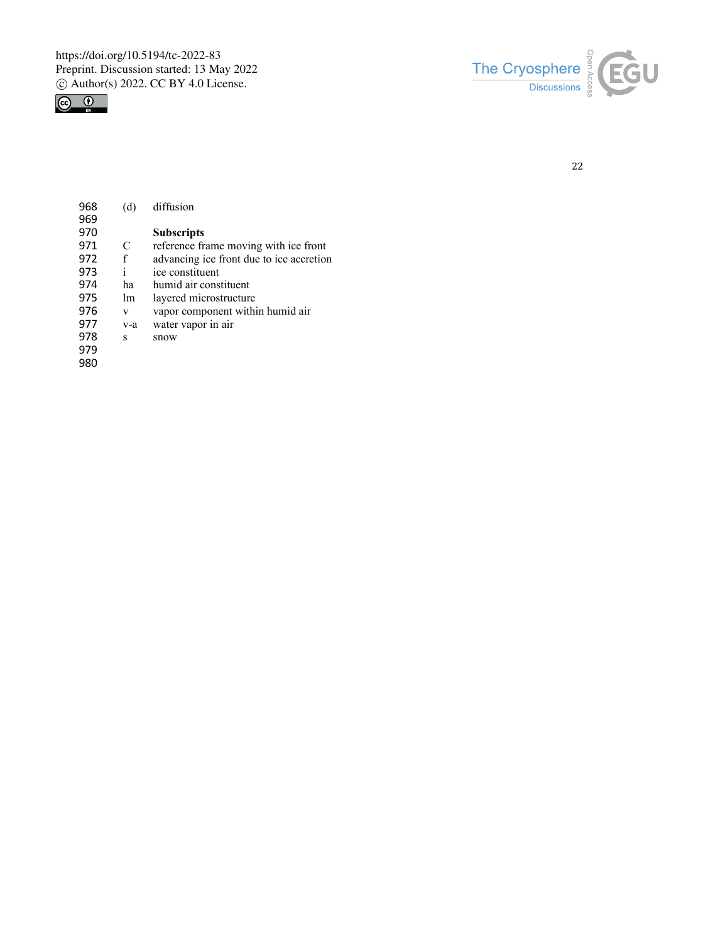



| 969<br>970<br><b>Subscripts</b><br>971<br>C<br>reference frame moving with ice front<br>972<br>f<br>advancing ice front due to ice accretion |  |
|----------------------------------------------------------------------------------------------------------------------------------------------|--|
|                                                                                                                                              |  |
|                                                                                                                                              |  |
|                                                                                                                                              |  |
|                                                                                                                                              |  |
| i<br>973<br>ice constituent                                                                                                                  |  |
| 974<br>humid air constituent<br>ha                                                                                                           |  |
| 975<br>layered microstructure<br>1m                                                                                                          |  |
| 976<br>vapor component within humid air<br>v                                                                                                 |  |
| 977<br>water vapor in air<br>v-a                                                                                                             |  |
| 978<br>S<br>snow                                                                                                                             |  |
| 979                                                                                                                                          |  |
| 980                                                                                                                                          |  |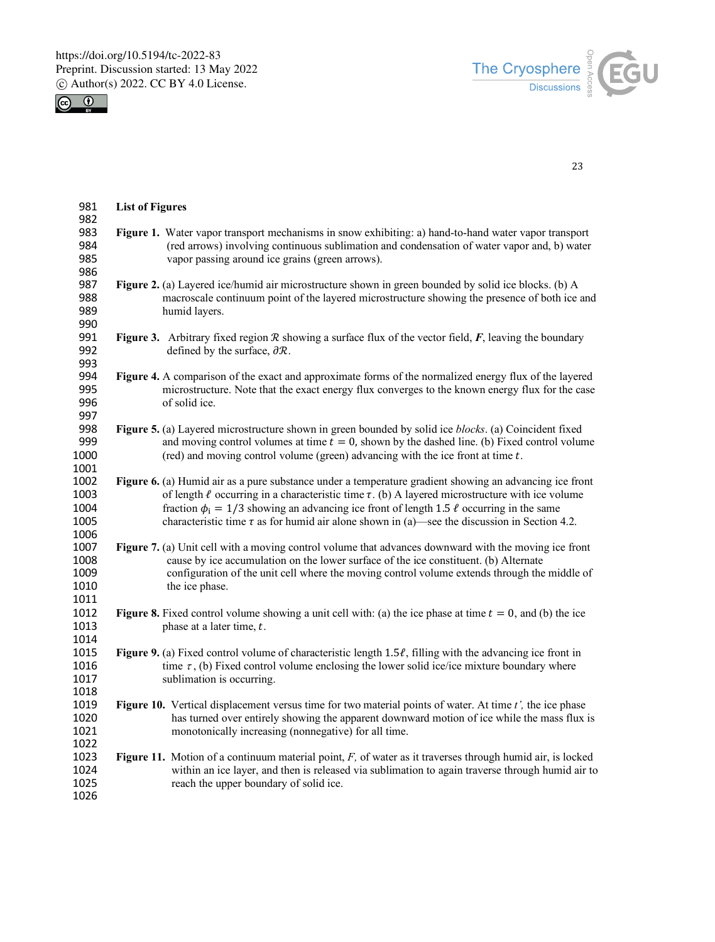



| 981          | <b>List of Figures</b> |                                                                                                                                                                                                       |  |
|--------------|------------------------|-------------------------------------------------------------------------------------------------------------------------------------------------------------------------------------------------------|--|
| 982          |                        |                                                                                                                                                                                                       |  |
| 983          |                        | Figure 1. Water vapor transport mechanisms in snow exhibiting: a) hand-to-hand water vapor transport                                                                                                  |  |
| 984          |                        | (red arrows) involving continuous sublimation and condensation of water vapor and, b) water                                                                                                           |  |
| 985          |                        | vapor passing around ice grains (green arrows).                                                                                                                                                       |  |
| 986          |                        |                                                                                                                                                                                                       |  |
| 987<br>988   |                        | Figure 2. (a) Layered ice/humid air microstructure shown in green bounded by solid ice blocks. (b) A<br>macroscale continuum point of the layered microstructure showing the presence of both ice and |  |
| 989          |                        |                                                                                                                                                                                                       |  |
| 990          |                        | humid layers.                                                                                                                                                                                         |  |
| 991          |                        | Figure 3. Arbitrary fixed region $R$ showing a surface flux of the vector field, $F$ , leaving the boundary                                                                                           |  |
| 992          |                        | defined by the surface, $\partial \mathcal{R}$ .                                                                                                                                                      |  |
| 993          |                        |                                                                                                                                                                                                       |  |
| 994          |                        | Figure 4. A comparison of the exact and approximate forms of the normalized energy flux of the layered                                                                                                |  |
| 995          |                        | microstructure. Note that the exact energy flux converges to the known energy flux for the case                                                                                                       |  |
| 996          |                        | of solid ice.                                                                                                                                                                                         |  |
| 997          |                        |                                                                                                                                                                                                       |  |
| 998          |                        | Figure 5. (a) Layered microstructure shown in green bounded by solid ice blocks. (a) Coincident fixed                                                                                                 |  |
| 999          |                        | and moving control volumes at time $t = 0$ , shown by the dashed line. (b) Fixed control volume                                                                                                       |  |
| 1000         |                        | (red) and moving control volume (green) advancing with the ice front at time $t$ .                                                                                                                    |  |
| 1001         |                        |                                                                                                                                                                                                       |  |
| 1002         |                        | Figure 6. (a) Humid air as a pure substance under a temperature gradient showing an advancing ice front                                                                                               |  |
| 1003         |                        | of length $\ell$ occurring in a characteristic time $\tau$ . (b) A layered microstructure with ice volume                                                                                             |  |
| 1004         |                        | fraction $\phi_i = 1/3$ showing an advancing ice front of length 1.5 $\ell$ occurring in the same                                                                                                     |  |
| 1005         |                        | characteristic time $\tau$ as for humid air alone shown in (a)—see the discussion in Section 4.2.                                                                                                     |  |
| 1006         |                        |                                                                                                                                                                                                       |  |
| 1007         |                        | Figure 7. (a) Unit cell with a moving control volume that advances downward with the moving ice front                                                                                                 |  |
| 1008         |                        | cause by ice accumulation on the lower surface of the ice constituent. (b) Alternate                                                                                                                  |  |
| 1009         |                        | configuration of the unit cell where the moving control volume extends through the middle of                                                                                                          |  |
| 1010         |                        | the ice phase.                                                                                                                                                                                        |  |
| 1011         |                        |                                                                                                                                                                                                       |  |
| 1012         |                        | Figure 8. Fixed control volume showing a unit cell with: (a) the ice phase at time $t = 0$ , and (b) the ice                                                                                          |  |
| 1013         |                        | phase at a later time, $t$ .                                                                                                                                                                          |  |
| 1014         |                        |                                                                                                                                                                                                       |  |
| 1015         |                        | Figure 9. (a) Fixed control volume of characteristic length $1.5\ell$ , filling with the advancing ice front in                                                                                       |  |
| 1016         |                        | time $\tau$ , (b) Fixed control volume enclosing the lower solid ice/ice mixture boundary where                                                                                                       |  |
| 1017         |                        | sublimation is occurring.                                                                                                                                                                             |  |
| 1018         |                        |                                                                                                                                                                                                       |  |
| 1019         |                        | Figure 10. Vertical displacement versus time for two material points of water. At time t', the ice phase                                                                                              |  |
| 1020         |                        | has turned over entirely showing the apparent downward motion of ice while the mass flux is                                                                                                           |  |
| 1021         |                        | monotonically increasing (nonnegative) for all time.                                                                                                                                                  |  |
| 1022         |                        |                                                                                                                                                                                                       |  |
| 1023<br>1024 |                        | Figure 11. Motion of a continuum material point, $F$ , of water as it traverses through humid air, is locked                                                                                          |  |
| 1025         |                        | within an ice layer, and then is released via sublimation to again traverse through humid air to<br>reach the upper boundary of solid ice.                                                            |  |
| 1026         |                        |                                                                                                                                                                                                       |  |
|              |                        |                                                                                                                                                                                                       |  |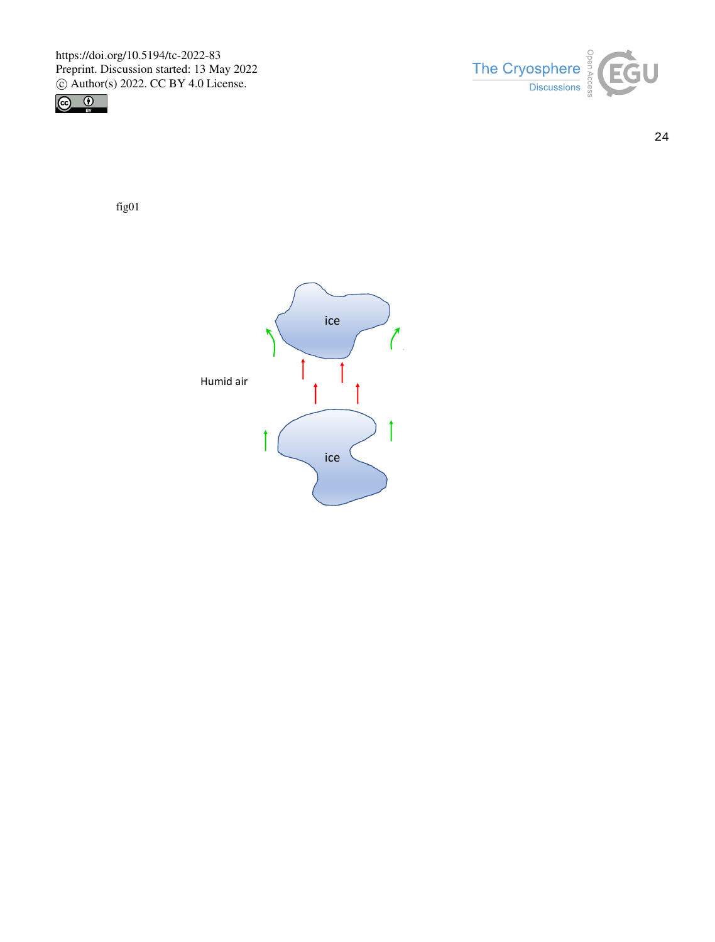



24

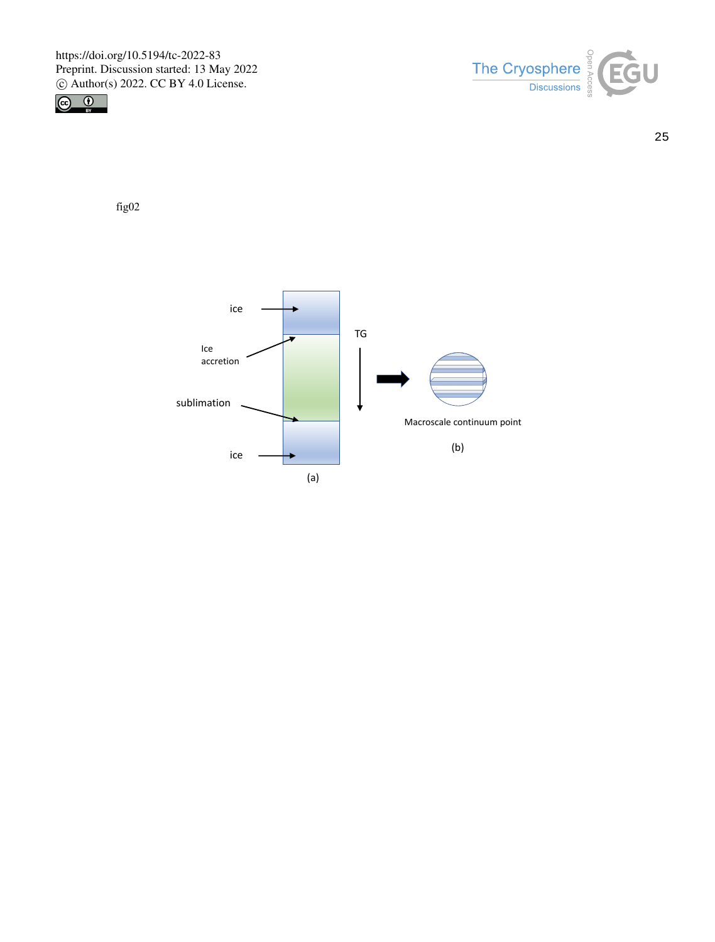



25

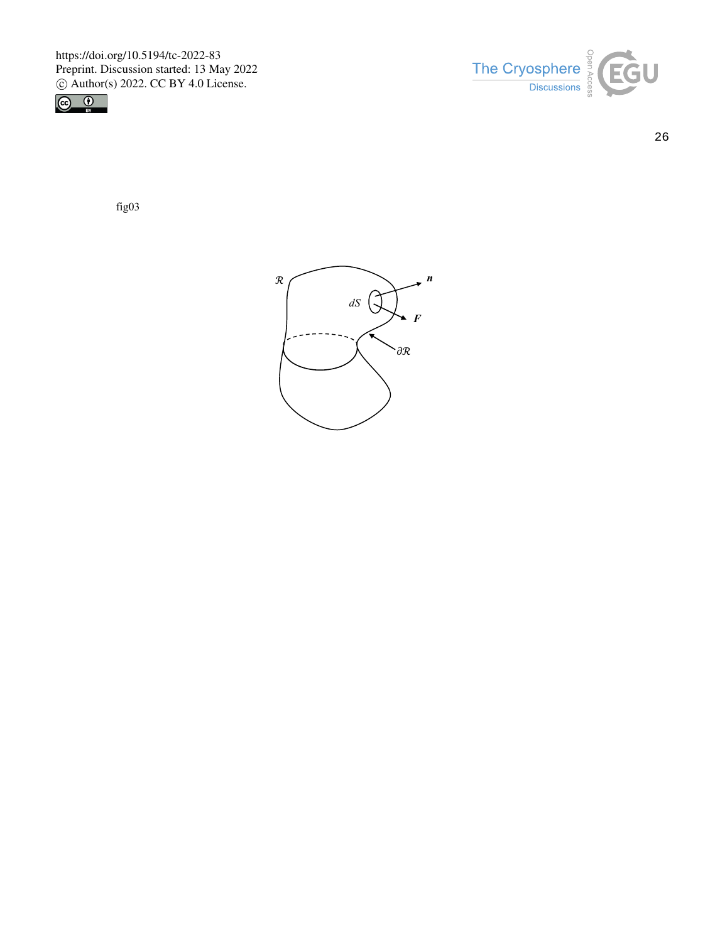



26

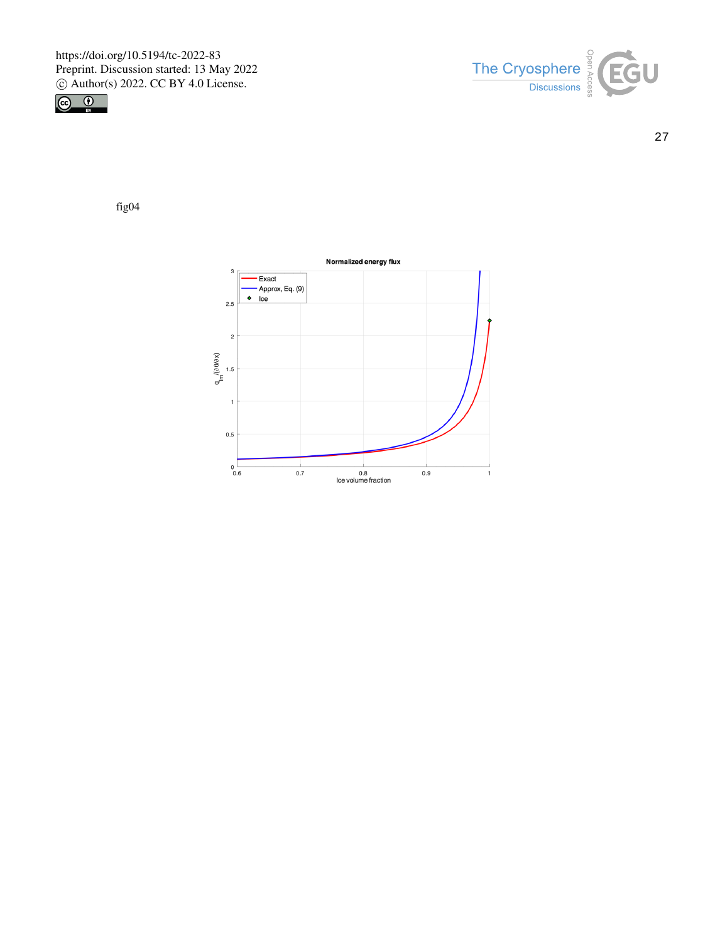



27

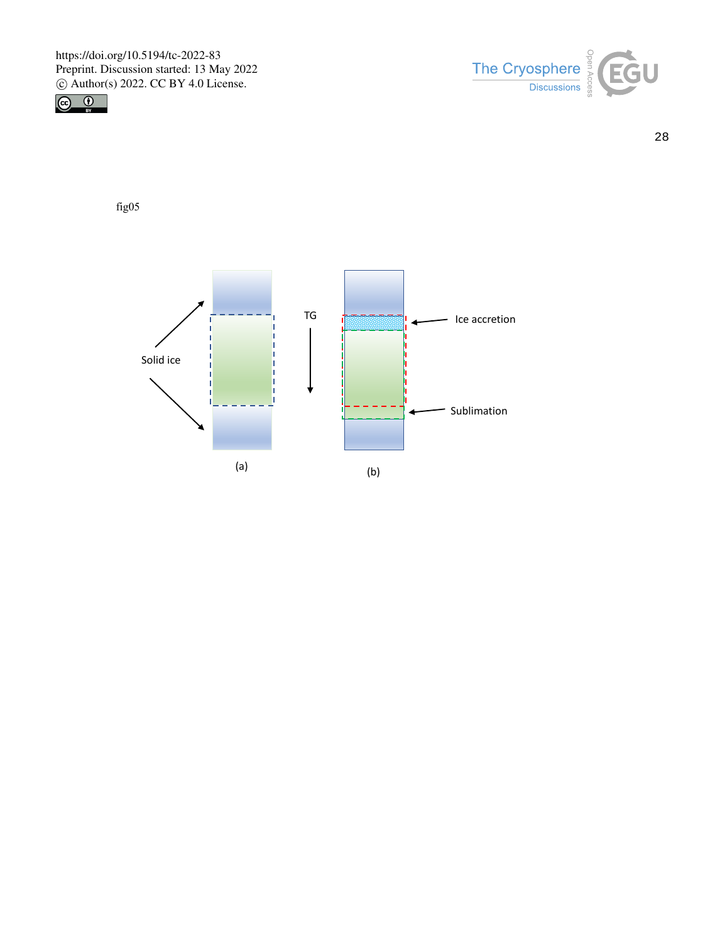



28

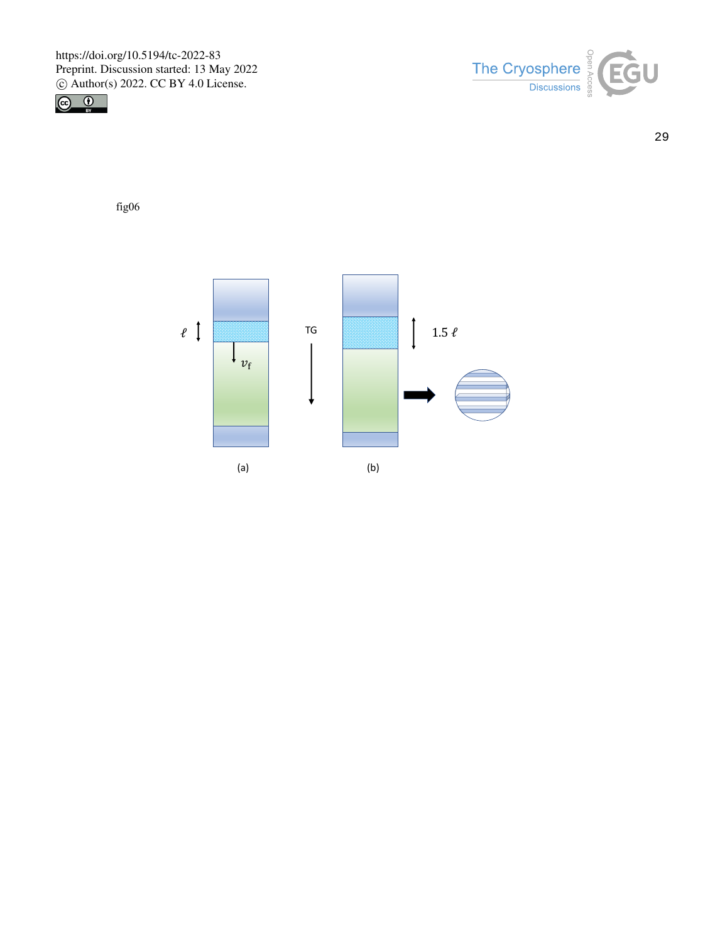



29

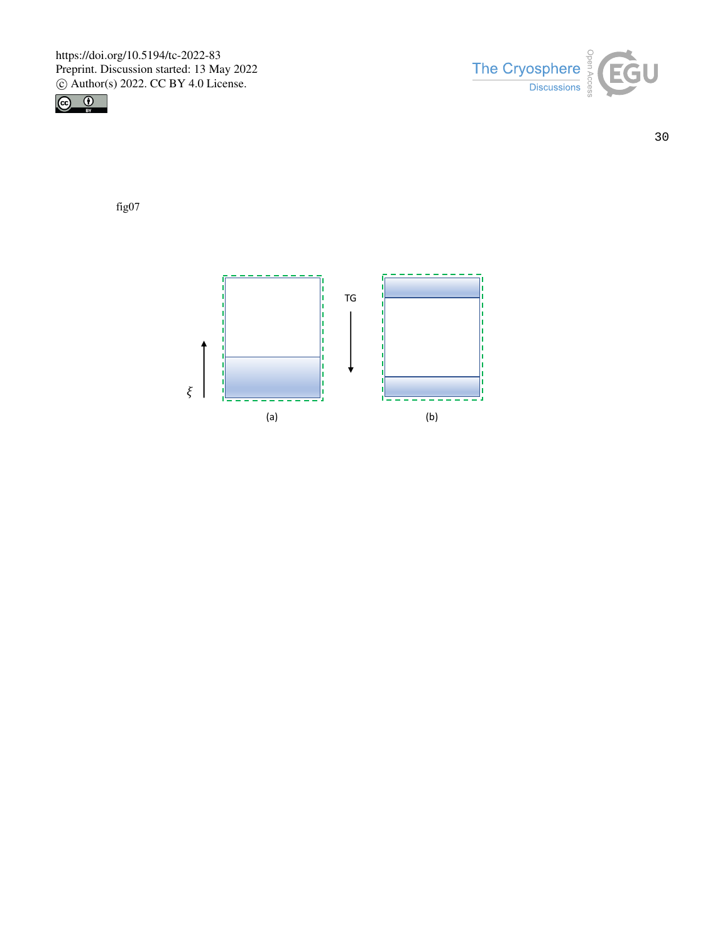



30

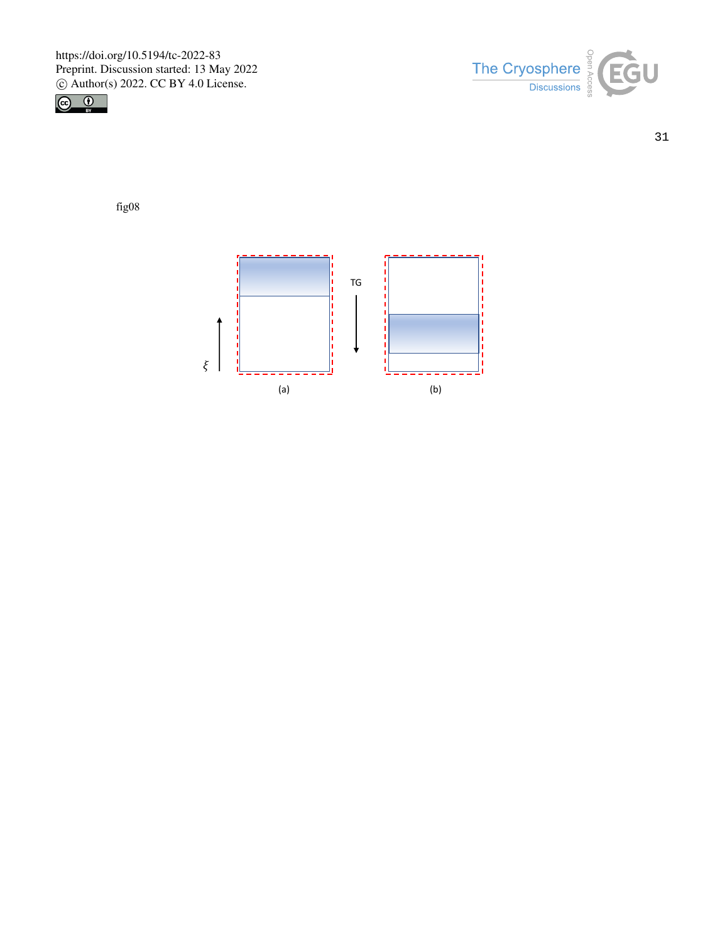



31

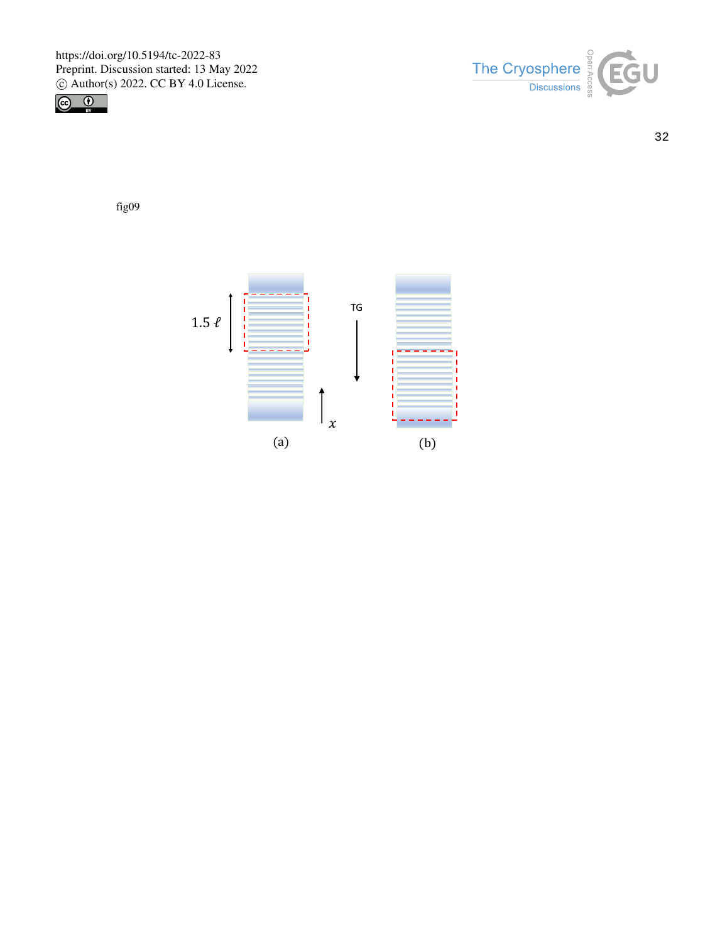



32

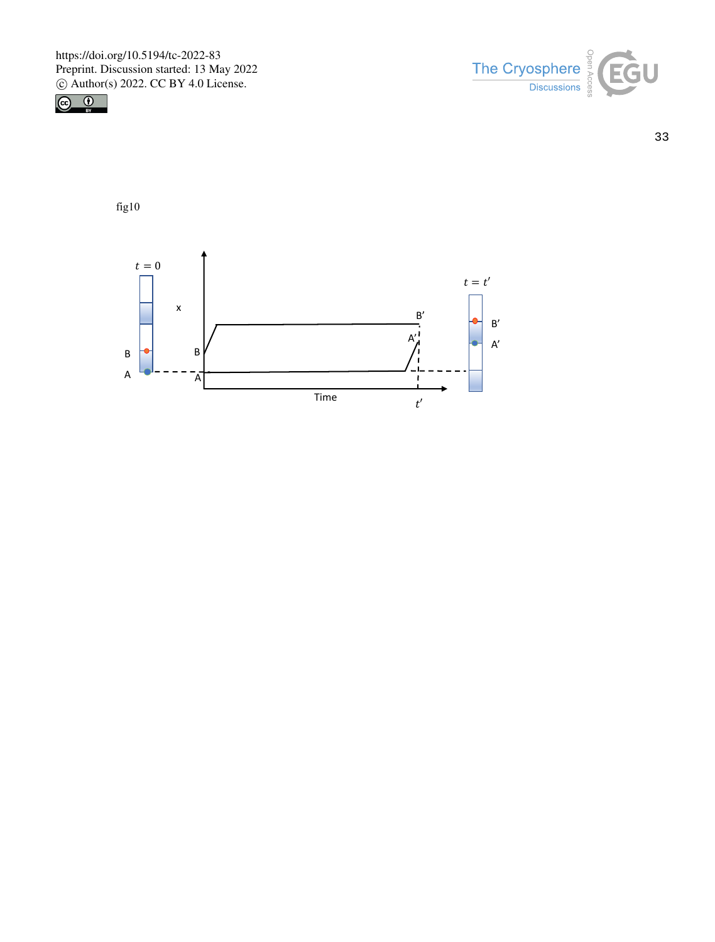